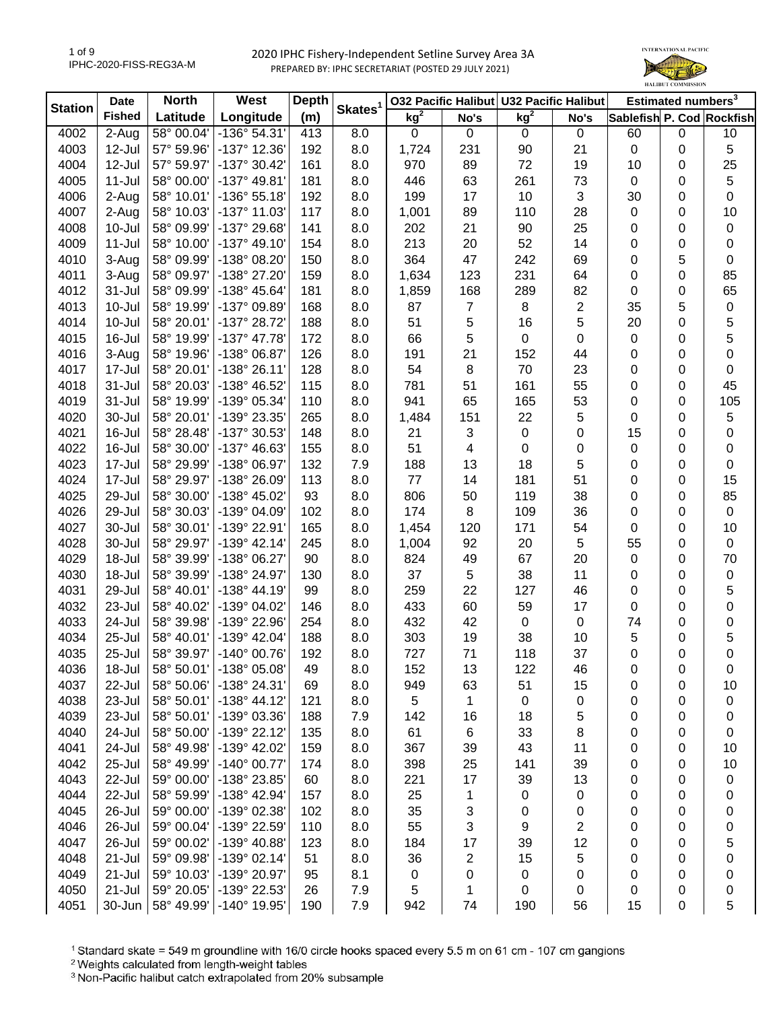

| <b>Station</b> | <b>Date</b>   | <b>North</b> | West                 | <b>Depth</b> | Skates <sup>1</sup> |                 |                | 032 Pacific Halibut U32 Pacific Halibut |                         |                           | Estimated numbers <sup>3</sup> |             |
|----------------|---------------|--------------|----------------------|--------------|---------------------|-----------------|----------------|-----------------------------------------|-------------------------|---------------------------|--------------------------------|-------------|
|                | <b>Fished</b> | Latitude     | Longitude            | (m)          |                     | kg <sup>2</sup> | No's           | kg <sup>2</sup>                         | No's                    | Sablefish P. Cod Rockfish |                                |             |
| 4002           | 2-Aug         | 58° 00.04'   | -136° 54.31'         | 413          | 8.0                 | $\pmb{0}$       | $\mathbf 0$    | $\pmb{0}$                               | $\mathbf 0$             | 60                        | $\mathbf 0$                    | 10          |
| 4003           | 12-Jul        | 57° 59.96'   | -137° 12.36'         | 192          | 8.0                 | 1,724           | 231            | 90                                      | 21                      | $\pmb{0}$                 | 0                              | 5           |
| 4004           | 12-Jul        | 57° 59.97'   | -137° 30.42'         | 161          | 8.0                 | 970             | 89             | 72                                      | 19                      | 10                        | 0                              | 25          |
| 4005           | $11 -$ Jul    | 58° 00.00'   | -137° 49.81'         | 181          | 8.0                 | 446             | 63             | 261                                     | 73                      | $\mathbf 0$               | 0                              | 5           |
| 4006           | 2-Aug         | 58° 10.01'   | -136° 55.18'         | 192          | 8.0                 | 199             | 17             | 10                                      | 3                       | 30                        | 0                              | 0           |
| 4007           | 2-Aug         | 58° 10.03'   | -137° 11.03'         | 117          | 8.0                 | 1,001           | 89             | 110                                     | 28                      | $\mathbf 0$               | 0                              | 10          |
| 4008           | 10-Jul        | 58° 09.99'   | -137° 29.68'         | 141          | 8.0                 | 202             | 21             | 90                                      | 25                      | 0                         | 0                              | $\pmb{0}$   |
| 4009           | 11-Jul        | 58° 10.00'   | $-137°$ 49.10        | 154          | 8.0                 | 213             | 20             | 52                                      | 14                      | 0                         | 0                              | 0           |
| 4010           | 3-Aug         | 58° 09.99'   | -138° 08.20'         | 150          | 8.0                 | 364             | 47             | 242                                     | 69                      | 0                         | 5                              | 0           |
| 4011           | 3-Aug         | 58° 09.97'   | -138° 27.20'         | 159          | 8.0                 | 1,634           | 123            | 231                                     | 64                      | 0                         | 0                              | 85          |
| 4012           | 31-Jul        | 58° 09.99'   | -138° 45.64'         | 181          | 8.0                 | 1,859           | 168            | 289                                     | 82                      | 0                         | 0                              | 65          |
| 4013           | 10-Jul        | 58° 19.99'   | -137° 09.89'         | 168          | 8.0                 | 87              | $\overline{7}$ | 8                                       | $\overline{\mathbf{c}}$ | 35                        | 5                              | $\pmb{0}$   |
| 4014           | 10-Jul        | 58° 20.01'   | -137° 28.72'         | 188          | 8.0                 | 51              | 5              | 16                                      | 5                       | 20                        | 0                              | 5           |
| 4015           | 16-Jul        | 58° 19.99'   | -137° 47.78'         | 172          | 8.0                 | 66              | 5              | 0                                       | 0                       | $\mathbf 0$               | 0                              | 5           |
| 4016           | 3-Aug         | 58° 19.96'   | -138° 06.87          | 126          | 8.0                 | 191             | 21             | 152                                     | 44                      | 0                         | 0                              | 0           |
| 4017           | 17-Jul        | 58° 20.01'   | $-138°26.11'$        | 128          | 8.0                 | 54              | 8              | 70                                      | 23                      | 0                         | 0                              | 0           |
| 4018           | 31-Jul        | 58° 20.03'   | -138° 46.52'         | 115          | 8.0                 | 781             | 51             | 161                                     | 55                      | 0                         | 0                              | 45          |
| 4019           | 31-Jul        | 58° 19.99'   | -139° 05.34'         | 110          | 8.0                 | 941             | 65             | 165                                     | 53                      | 0                         | 0                              | 105         |
| 4020           | 30-Jul        | 58° 20.01'   | -139° 23.35'         | 265          | 8.0                 | 1,484           | 151            | 22                                      | 5                       | 0                         | 0                              | 5           |
| 4021           | 16-Jul        | 58° 28.48'   | -137° 30.53'         | 148          | 8.0                 | 21              | 3              | 0                                       | 0                       | 15                        | 0                              | 0           |
| 4022           | 16-Jul        | 58° 30.00'   | -137° 46.63'         | 155          | 8.0                 | 51              | 4              | 0                                       | 0                       | $\mathbf 0$               | 0                              | 0           |
| 4023           | 17-Jul        | 58° 29.99'   | -138° 06.97'         | 132          | 7.9                 | 188             | 13             | 18                                      | 5                       | 0                         | 0                              | 0           |
| 4024           | 17-Jul        | 58° 29.97'   | -138° 26.09'         | 113          | 8.0                 | 77              | 14             | 181                                     | 51                      | 0                         | 0                              | 15          |
| 4025           | 29-Jul        | 58° 30.00'   | -138° 45.02'         | 93           | 8.0                 | 806             | 50             | 119                                     | 38                      | 0                         | 0                              | 85          |
| 4026           | 29-Jul        | 58° 30.03'   | -139° 04.09'         | 102          | 8.0                 | 174             | 8              | 109                                     | 36                      | 0                         | 0                              | $\mathbf 0$ |
| 4027           | 30-Jul        | 58° 30.01'   | -139° 22.91'         | 165          | 8.0                 | 1,454           | 120            | 171                                     | 54                      | 0                         | 0                              | 10          |
| 4028           | 30-Jul        | 58° 29.97'   | $-139°$ 42.14        | 245          | 8.0                 | 1,004           | 92             | 20                                      | 5                       | 55                        | 0                              | $\mathbf 0$ |
| 4029           | 18-Jul        | 58° 39.99'   | -138° 06.27'         | 90           | 8.0                 | 824             | 49             | 67                                      | 20                      | $\pmb{0}$                 | 0                              | 70          |
| 4030           | 18-Jul        | 58° 39.99'   | -138° 24.97'         | 130          | 8.0                 | 37              | 5              | 38                                      | 11                      | 0                         | 0                              | $\pmb{0}$   |
| 4031           | 29-Jul        | 58° 40.01'   | -138° 44.19'         | 99           | 8.0                 | 259             | 22             | 127                                     | 46                      | 0                         | 0                              | 5           |
| 4032           | 23-Jul        | 58° 40.02'   | -139° 04.02'         | 146          | 8.0                 | 433             | 60             | 59                                      | 17                      | 0                         | 0                              | 0           |
| 4033           | 24-Jul        | 58° 39.98'   | -139° 22.96'         | 254          | 8.0                 | 432             | 42             | $\mathbf 0$                             | $\mathbf 0$             | 74                        | 0                              | 0           |
| 4034           | 25-Jul        | 58° 40.01'   | $-139°$ 42.04        | 188          | 8.0                 | 303             | 19             | 38                                      | 10                      | 5                         | 0                              | 5           |
| 4035           | 25-Jul        | 58° 39.97'   | -140° 00.76'         | 192          | 8.0                 | 727             | 71             | 118                                     | 37                      | 0                         | 0                              | 0           |
| 4036           | 18-Jul        | 58° 50.01    | $-138°05.08$         | 49           | 8.0                 | 152             | 13             | 122                                     | 46                      | 0                         | 0                              | 0           |
| 4037           | 22-Jul        | 58° 50.06'   | -138° 24.31'         | 69           | 8.0                 | 949             | 63             | 51                                      | 15                      | 0                         | 0                              | 10          |
| 4038           | 23-Jul        | 58° 50.01'   | $-138° 44.12'$       | 121          | 8.0                 | 5               | 1              | 0                                       | 0                       | 0                         | 0                              | 0           |
| 4039           | 23-Jul        | 58° 50.01'   | -139° 03.36'         | 188          | 7.9                 | 142             | 16             | 18                                      | 5                       | 0                         | 0                              | 0           |
| 4040           | 24-Jul        | 58° 50.00'   | $-139°$ 22.12        | 135          | 8.0                 | 61              | 6              | 33                                      | 8                       | 0                         | 0                              | 0           |
| 4041           | 24-Jul        | 58° 49.98'   | -139° 42.02'         | 159          | 8.0                 | 367             | 39             | 43                                      | 11                      | 0                         | 0                              | 10          |
| 4042           | 25-Jul        | 58° 49.99'   | $-140^{\circ}$ 00.77 | 174          | 8.0                 | 398             | 25             | 141                                     | 39                      | 0                         | 0                              | 10          |
| 4043           | 22-Jul        | 59° 00.00'   | -138° 23.85'         | 60           | 8.0                 | 221             | 17             | 39                                      | 13                      | 0                         | 0                              | 0           |
| 4044           | 22-Jul        | 58° 59.99'   | -138° 42.94'         | 157          | 8.0                 | 25              | 1              | 0                                       | 0                       | 0                         | 0                              | 0           |
| 4045           | 26-Jul        | 59° 00.00'   | -139° 02.38'         | 102          | 8.0                 | 35              | 3              | 0                                       | 0                       | 0                         | 0                              | 0           |
| 4046           | 26-Jul        | 59° 00.04'   | -139° 22.59'         | 110          | 8.0                 | 55              | 3              | 9                                       | 2                       | 0                         | 0                              | 0           |
| 4047           | 26-Jul        | 59° 00.02'   | -139° 40.88'         | 123          | 8.0                 | 184             | 17             | 39                                      | 12                      | 0                         | 0                              | 5           |
| 4048           | 21-Jul        | 59° 09.98'   | -139° 02.14'         | 51           | 8.0                 | 36              | 2              | 15                                      | 5                       | 0                         | 0                              | 0           |
| 4049           | 21-Jul        | 59° 10.03'   | -139° 20.97'         | 95           | 8.1                 | 0               | 0              | 0                                       | 0                       | 0                         | 0                              | 0           |
| 4050           | $21 -$ Jul    | 59° 20.05'   | -139° 22.53'         | 26           | 7.9                 | 5               | 1              | 0                                       | 0                       | 0                         | 0                              | 0           |
| 4051           | 30-Jun        | 58° 49.99'   | $-140^{\circ}$ 19.95 | 190          | 7.9                 | 942             | 74             | 190                                     | 56                      | 15                        | 0                              | 5           |

<sup>1</sup> Standard skate = 549 m groundline with 16/0 circle hooks spaced every 5.5 m on 61 cm - 107 cm gangions

<sup>2</sup> Weights calculated from length-weight tables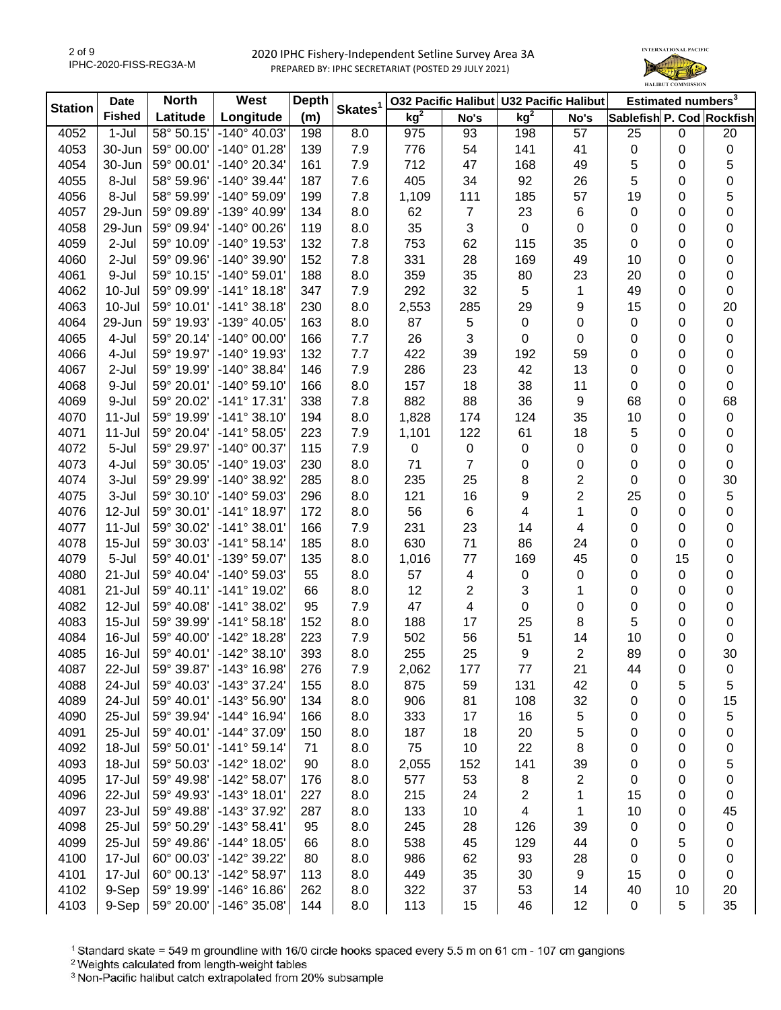

| <b>Station</b> | <b>Date</b>   | <b>North</b> | West                         | <b>Depth</b> | Skates <sup>1</sup> |                 |                | 032 Pacific Halibut U32 Pacific Halibut |                         |             | Estimated numbers <sup>3</sup> |                           |
|----------------|---------------|--------------|------------------------------|--------------|---------------------|-----------------|----------------|-----------------------------------------|-------------------------|-------------|--------------------------------|---------------------------|
|                | <b>Fished</b> | Latitude     | Longitude                    | (m)          |                     | kg <sup>2</sup> | No's           | kg <sup>2</sup>                         | No's                    |             |                                | Sablefish P. Cod Rockfish |
| 4052           | $1-Jul$       | 58° 50.15'   | $-140^{\circ}$ 40.03'        | 198          | 8.0                 | 975             | 93             | 198                                     | 57                      | 25          | $\mathbf 0$                    | 20                        |
| 4053           | 30-Jun        | 59° 00.00'   | $-140^{\circ}$ 01.28         | 139          | 7.9                 | 776             | 54             | 141                                     | 41                      | $\pmb{0}$   | 0                              | $\pmb{0}$                 |
| 4054           | 30-Jun        | 59° 00.01'   | -140° 20.34'                 | 161          | 7.9                 | 712             | 47             | 168                                     | 49                      | 5           | 0                              | 5                         |
| 4055           | 8-Jul         | 58° 59.96'   | $-140^{\circ}$ 39.44'        | 187          | 7.6                 | 405             | 34             | 92                                      | 26                      | 5           | 0                              | 0                         |
| 4056           | 8-Jul         | 58° 59.99'   | -140° 59.09'                 | 199          | 7.8                 | 1,109           | 111            | 185                                     | 57                      | 19          | 0                              | 5                         |
| 4057           | 29-Jun        | 59° 09.89'   | -139° 40.99'                 | 134          | 8.0                 | 62              | $\overline{7}$ | 23                                      | 6                       | 0           | 0                              | 0                         |
| 4058           | 29-Jun        | 59° 09.94'   | -140° 00.26'                 | 119          | 8.0                 | 35              | 3              | 0                                       | 0                       | 0           | 0                              | 0                         |
| 4059           | $2-Jul$       | 59° 10.09'   | -140° 19.53'                 | 132          | 7.8                 | 753             | 62             | 115                                     | 35                      | 0           | 0                              | 0                         |
| 4060           | 2-Jul         | 59° 09.96'   | -140° 39.90'                 | 152          | 7.8                 | 331             | 28             | 169                                     | 49                      | 10          | 0                              | 0                         |
| 4061           | 9-Jul         | 59° 10.15'   | $-140^{\circ} 59.01'$        | 188          | 8.0                 | 359             | 35             | 80                                      | 23                      | 20          | 0                              | 0                         |
| 4062           | 10-Jul        | 59° 09.99'   | $-141°$ 18.18                | 347          | 7.9                 | 292             | 32             | 5                                       | 1                       | 49          | 0                              | 0                         |
| 4063           | $10 -$ Jul    | 59° 10.01'   | $-141°38.18'$                | 230          | 8.0                 | 2,553           | 285            | 29                                      | 9                       | 15          | 0                              | 20                        |
| 4064           | 29-Jun        | 59° 19.93'   | -139° 40.05'                 | 163          | 8.0                 | 87              | 5              | $\pmb{0}$                               | 0                       | $\mathbf 0$ | 0                              | $\pmb{0}$                 |
| 4065           | 4-Jul         | 59° 20.14'   | $-140^{\circ}$ 00.00         | 166          | 7.7                 | 26              | 3              | 0                                       | 0                       | 0           | 0                              | 0                         |
| 4066           | 4-Jul         | 59° 19.97'   | -140° 19.93'                 | 132          | 7.7                 | 422             | 39             | 192                                     | 59                      | 0           | 0                              | 0                         |
| 4067           | 2-Jul         | 59° 19.99'   | -140° 38.84'                 | 146          | 7.9                 | 286             | 23             | 42                                      | 13                      | 0           | 0                              | 0                         |
| 4068           | 9-Jul         | 59° 20.01'   | $-140^{\circ} 59.10^{\circ}$ | 166          | 8.0                 | 157             | 18             | 38                                      | 11                      | 0           | 0                              | 0                         |
| 4069           | 9-Jul         | 59° 20.02'   | $-141°$ 17.31                | 338          | 7.8                 | 882             | 88             | 36                                      | 9                       | 68          | 0                              | 68                        |
| 4070           | $11 -$ Jul    | 59° 19.99'   | $-141°38.10'$                | 194          | 8.0                 | 1,828           | 174            | 124                                     | 35                      | 10          | 0                              | 0                         |
| 4071           | $11 -$ Jul    | 59° 20.04'   | $-141°58.05'$                | 223          | 7.9                 | 1,101           | 122            | 61                                      | 18                      | 5           | 0                              | 0                         |
| 4072           | 5-Jul         | 59° 29.97'   | -140° 00.37'                 | 115          | 7.9                 | 0               | $\pmb{0}$      | 0                                       | 0                       | 0           | 0                              | 0                         |
| 4073           | 4-Jul         | 59° 30.05'   | -140° 19.03'                 | 230          | 8.0                 | 71              | $\overline{7}$ | 0                                       | 0                       | 0           | 0                              | 0                         |
| 4074           | 3-Jul         | 59° 29.99'   | -140° 38.92'                 | 285          | 8.0                 | 235             | 25             | 8                                       | 2                       | 0           | 0                              | 30                        |
| 4075           | 3-Jul         | 59° 30.10'   | -140° 59.03'                 | 296          | 8.0                 | 121             | 16             | 9                                       | 2                       | 25          | 0                              | 5                         |
| 4076           | 12-Jul        | 59° 30.01'   | $-141°$ 18.97                | 172          | 8.0                 | 56              | 6              | 4                                       | 1                       | $\mathbf 0$ | 0                              | 0                         |
| 4077           | $11 -$ Jul    | 59° 30.02'   | $-141°38.01'$                | 166          | 7.9                 | 231             | 23             | 14                                      | 4                       | 0           | 0                              | 0                         |
| 4078           | $15 -$ Jul    | 59° 30.03'   | $-141°58.14'$                | 185          | 8.0                 | 630             | 71             | 86                                      | 24                      | 0           | 0                              | 0                         |
| 4079           | 5-Jul         | 59° 40.01'   | -139° 59.07'                 | 135          | 8.0                 | 1,016           | $77$           | 169                                     | 45                      | 0           | 15                             | 0                         |
| 4080           | $21 -$ Jul    | 59° 40.04'   | -140° 59.03'                 | 55           | 8.0                 | 57              | 4              | $\pmb{0}$                               | 0                       | 0           | $\mathbf 0$                    | 0                         |
| 4081           | 21-Jul        | 59° 40.11'   | -141° 19.02'                 | 66           | 8.0                 | 12              | 2              | 3                                       | 1                       | 0           | 0                              | 0                         |
| 4082           | 12-Jul        | 59° 40.08'   | $-141°38.02'$                | 95           | 7.9                 | 47              | 4              | $\pmb{0}$                               | 0                       | 0           | 0                              | 0                         |
| 4083           | $15 -$ Jul    | 59° 39.99'   | $-141°58.18'$                | 152          | 8.0                 | 188             | 17             | 25                                      | 8                       | 5           | 0                              | 0                         |
| 4084           | 16-Jul        | 59° 40.00'   | -142° 18.28'                 | 223          | 7.9                 | 502             | 56             | 51                                      | 14                      | 10          | 0                              | $\pmb{0}$                 |
| 4085           | 16-Jul        | 59° 40.01'   | $-142°38.10'$                | 393          | 8.0                 | 255             | 25             | 9                                       | $\overline{2}$          | 89          | 0                              | 30                        |
| 4087           | 22-Jul        | 59° 39.87'   | $-143°$ 16.98                | 276          | 7.9                 | 2,062           | 177            | 77                                      | 21                      | 44          | 0                              | 0                         |
| 4088           | 24-Jul        | 59° 40.03'   | $-143°37.24'$                | 155          | 8.0                 | 875             | 59             | 131                                     | 42                      | 0           | 5                              | 5                         |
| 4089           | 24-Jul        | 59° 40.01'   | -143° 56.90'                 | 134          | 8.0                 | 906             | 81             | 108                                     | 32                      | 0           | 0                              | 15                        |
| 4090           | 25-Jul        | 59° 39.94'   | -144° 16.94'                 | 166          | 8.0                 | 333             | 17             | 16                                      | 5                       | 0           | 0                              | 5                         |
| 4091           | 25-Jul        | 59° 40.01'   | -144° 37.09'                 | 150          | 8.0                 | 187             | 18             | 20                                      | 5                       | 0           | 0                              | 0                         |
| 4092           | 18-Jul        | 59° 50.01'   | $-141°59.14'$                | 71           | 8.0                 | 75              | 10             | 22                                      | 8                       | 0           | 0                              | 0                         |
| 4093           | 18-Jul        | 59° 50.03'   | -142° 18.02'                 | 90           | 8.0                 | 2,055           | 152            | 141                                     | 39                      | 0           | 0                              | 5                         |
| 4095           | 17-Jul        | 59° 49.98'   | -142° 58.07'                 | 176          | 8.0                 | 577             | 53             | 8                                       | $\overline{\mathbf{c}}$ | 0           | 0                              | 0                         |
| 4096           | 22-Jul        | 59° 49.93'   | $-143°$ 18.01'               | 227          | 8.0                 | 215             | 24             | 2                                       | 1                       | 15          | 0                              | 0                         |
| 4097           | 23-Jul        | 59° 49.88'   | -143° 37.92'                 | 287          | 8.0                 | 133             | 10             | 4                                       | 1                       | 10          | 0                              | 45                        |
| 4098           | 25-Jul        | 59° 50.29'   | $-143°58.41'$                | 95           | 8.0                 | 245             | 28             | 126                                     | 39                      | 0           | 0                              | 0                         |
| 4099           | 25-Jul        | 59° 49.86'   | $-144^{\circ}$ 18.05'        | 66           | 8.0                 | 538             | 45             | 129                                     | 44                      | 0           | 5                              | 0                         |
| 4100           | 17-Jul        | 60° 00.03'   | -142° 39.22'                 | 80           | 8.0                 | 986             | 62             | 93                                      | 28                      | 0           | 0                              | 0                         |
| 4101           | 17-Jul        | 60° 00.13'   | -142° 58.97'                 | 113          | 8.0                 | 449             | 35             | 30                                      | 9                       | 15          | 0                              | 0                         |
| 4102           | 9-Sep         | 59° 19.99'   | $-146°$ 16.86                | 262          | 8.0                 | 322             | 37             | 53                                      | 14                      | 40          | 10                             | 20                        |
| 4103           | 9-Sep         | 59° 20.00'   | $-146°35.08'$                | 144          | 8.0                 | 113             | 15             | 46                                      | 12                      | $\pmb{0}$   | 5                              | 35                        |

<sup>1</sup> Standard skate = 549 m groundline with 16/0 circle hooks spaced every 5.5 m on 61 cm - 107 cm gangions

<sup>2</sup> Weights calculated from length-weight tables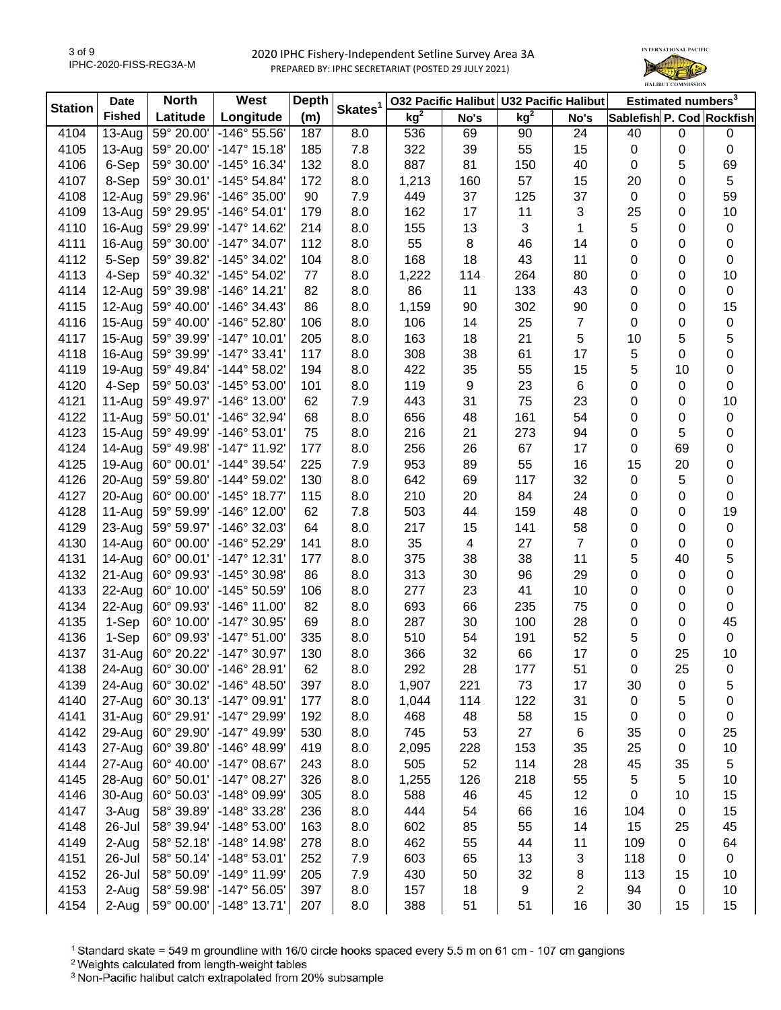

| <b>Station</b> | <b>Date</b>   | <b>North</b> | West                  | <b>Depth</b> | Skates <sup>1</sup> |                 |                | 032 Pacific Halibut U32 Pacific Halibut |                |             | Estimated numbers <sup>3</sup> |                           |
|----------------|---------------|--------------|-----------------------|--------------|---------------------|-----------------|----------------|-----------------------------------------|----------------|-------------|--------------------------------|---------------------------|
|                | <b>Fished</b> | Latitude     | Longitude             | (m)          |                     | kg <sup>2</sup> | No's           | kg <sup>2</sup>                         | No's           |             |                                | Sablefish P. Cod Rockfish |
| 4104           | $13-Auq$      | 59° 20.00'   | -146° 55.56'          | 187          | 8.0                 | 536             | 69             | 90                                      | 24             | 40          | $\mathbf 0$                    | $\pmb{0}$                 |
| 4105           | $13-Auq$      | 59° 20.00'   | $-147°$ 15.18         | 185          | 7.8                 | 322             | 39             | 55                                      | 15             | $\mathbf 0$ | 0                              | $\pmb{0}$                 |
| 4106           | 6-Sep         | 59° 30.00'   | -145° 16.34'          | 132          | 8.0                 | 887             | 81             | 150                                     | 40             | $\mathbf 0$ | 5                              | 69                        |
| 4107           | 8-Sep         | 59° 30.01'   | -145° 54.84'          | 172          | 8.0                 | 1,213           | 160            | 57                                      | 15             | 20          | 0                              | 5                         |
| 4108           | 12-Aug        | 59° 29.96'   | $-146°35.00'$         | 90           | 7.9                 | 449             | 37             | 125                                     | 37             | $\mathbf 0$ | 0                              | 59                        |
| 4109           | 13-Aug        | 59° 29.95'   | $-146°54.01'$         | 179          | 8.0                 | 162             | 17             | 11                                      | 3              | 25          | 0                              | 10                        |
| 4110           | 16-Aug        | 59° 29.99'   | $-147°$ 14.62         | 214          | 8.0                 | 155             | 13             | 3                                       | 1              | 5           | 0                              | 0                         |
| 4111           | 16-Aug        | 59° 30.00'   | $-147°34.07'$         | 112          | 8.0                 | 55              | $\bf 8$        | 46                                      | 14             | 0           | 0                              | 0                         |
| 4112           | 5-Sep         | 59° 39.82'   | -145° 34.02'          | 104          | 8.0                 | 168             | 18             | 43                                      | 11             | 0           | 0                              | 0                         |
| 4113           | 4-Sep         | 59° 40.32'   | -145° 54.02'          | 77           | 8.0                 | 1,222           | 114            | 264                                     | 80             | 0           | 0                              | 10                        |
| 4114           | $12-Auq$      | 59° 39.98'   | $-146°$ 14.21'        | 82           | 8.0                 | 86              | 11             | 133                                     | 43             | 0           | 0                              | 0                         |
| 4115           | $12-Au$ g     | 59° 40.00'   | $-146°34.43'$         | 86           | 8.0                 | 1,159           | 90             | 302                                     | 90             | 0           | 0                              | 15                        |
| 4116           | $15-Au$ g     | 59° 40.00'   | -146° 52.80'          | 106          | 8.0                 | 106             | 14             | 25                                      | $\overline{7}$ | 0           | 0                              | $\mathbf 0$               |
| 4117           | $15-Au$ g     | 59° 39.99'   | $-147°$ 10.01         | 205          | 8.0                 | 163             | 18             | 21                                      | 5              | 10          | 5                              | 5                         |
| 4118           | 16-Aug        | 59° 39.99'   | $-147°33.41'$         | 117          | 8.0                 | 308             | 38             | 61                                      | 17             | 5           | 0                              | $\mathbf 0$               |
| 4119           | 19-Aug        | 59° 49.84'   | $-144^{\circ} 58.02'$ | 194          | 8.0                 | 422             | 35             | 55                                      | 15             | 5           | 10                             | 0                         |
| 4120           | 4-Sep         | 59° 50.03'   | -145° 53.00'          | 101          | 8.0                 | 119             | 9              | 23                                      | 6              | 0           | $\mathbf 0$                    | 0                         |
| 4121           | $11-Auq$      | 59° 49.97'   | $-146°$ 13.00         | 62           | 7.9                 | 443             | 31             | 75                                      | 23             | 0           | 0                              | 10                        |
| 4122           | 11-Aug        | 59° 50.01'   | -146° 32.94'          | 68           | 8.0                 | 656             | 48             | 161                                     | 54             | 0           | 0                              | 0                         |
| 4123           | 15-Aug        | 59° 49.99'   | $-146°53.01'$         | 75           | 8.0                 | 216             | 21             | 273                                     | 94             | 0           | 5                              | 0                         |
| 4124           | 14-Aug        | 59° 49.98'   | -147° 11.92'          | 177          | 8.0                 | 256             | 26             | 67                                      | 17             | 0           | 69                             | 0                         |
| 4125           | 19-Aug        | 60° 00.01'   | -144° 39.54'          | 225          | 7.9                 | 953             | 89             | 55                                      | 16             | 15          | 20                             | 0                         |
| 4126           | 20-Aug        | 59° 59.80'   | -144° 59.02'          | 130          | 8.0                 | 642             | 69             | 117                                     | 32             | 0           | 5                              | 0                         |
| 4127           | 20-Aug        | 60° 00.00'   | $-145°$ 18.77         | 115          | 8.0                 | 210             | 20             | 84                                      | 24             | 0           | 0                              | 0                         |
| 4128           | 11-Aug        | 59° 59.99'   | $-146^\circ$ 12.00    | 62           | 7.8                 | 503             | 44             | 159                                     | 48             | 0           | 0                              | 19                        |
| 4129           | 23-Aug        | 59° 59.97'   | -146° 32.03'          | 64           | 8.0                 | 217             | 15             | 141                                     | 58             | 0           | 0                              | $\pmb{0}$                 |
| 4130           | 14-Aug        | 60° 00.00'   | -146° 52.29'          | 141          | 8.0                 | 35              | $\overline{4}$ | 27                                      | $\overline{7}$ | 0           | $\mathbf 0$                    | 0                         |
| 4131           | 14-Aug        | 60° 00.01'   | $-147°$ 12.31         | 177          | 8.0                 | 375             | 38             | 38                                      | 11             | 5           | 40                             | 5                         |
| 4132           | 21-Aug        | 60° 09.93'   | -145° 30.98'          | 86           | 8.0                 | 313             | 30             | 96                                      | 29             | 0           | $\mathbf 0$                    | $\pmb{0}$                 |
| 4133           | 22-Aug        | 60° 10.00'   | $-145^{\circ} 50.59'$ | 106          | 8.0                 | 277             | 23             | 41                                      | 10             | 0           | $\mathbf 0$                    | $\boldsymbol{0}$          |
| 4134           | 22-Aug        | 60° 09.93'   | $-146°$ 11.00         | 82           | 8.0                 | 693             | 66             | 235                                     | 75             | 0           | 0                              | 0                         |
| 4135           | 1-Sep         | 60° 10.00'   | -147° 30.95'          | 69           | 8.0                 | 287             | 30             | 100                                     | 28             |             | 0                              | 45                        |
| 4136           | 1-Sep         | 60° 09.93'   | $-147°51.00'$         | 335          | 8.0                 | 510             | 54             | 191                                     | 52             | 0<br>5      |                                | $\mathbf 0$               |
| 4137           | 31-Aug        | 60° 20.22'   | $-147°30.97'$         | 130          | 8.0                 | 366             | 32             | 66                                      | 17             | 0           | 0<br>25                        | 10                        |
|                | 24-Aug        |              |                       |              |                     |                 |                |                                         |                | $\mathbf 0$ |                                |                           |
| 4138           |               | 60° 30.00'   | $-146^{\circ}$ 28.91  | 62           | 8.0                 | 292             | 28             | 177                                     | 51             |             | 25                             | 0                         |
| 4139           | 24-Aug        | 60° 30.02'   | $-146^{\circ}$ 48.50  | 397          | 8.0                 | 1,907           | 221            | 73                                      | 17             | 30          | 0                              | 5                         |
| 4140           | 27-Aug        | 60° 30.13'   | -147° 09.91'          | 177          | 8.0                 | 1,044           | 114            | 122                                     | 31             | $\mathbf 0$ | 5                              | 0                         |
| 4141           | 31-Aug        | 60° 29.91'   | -147° 29.99'          | 192          | 8.0                 | 468             | 48             | 58                                      | 15             | 0           | 0                              | 0                         |
| 4142           | 29-Aug        | 60° 29.90'   | -147° 49.99'          | 530          | 8.0                 | 745             | 53             | 27                                      | 6              | 35          | 0                              | 25                        |
| 4143           | 27-Aug        | 60° 39.80'   | $-146°$ 48.99         | 419          | 8.0                 | 2,095           | 228            | 153                                     | 35             | 25          | 0                              | 10                        |
| 4144           | 27-Aug        | 60° 40.00'   | -147° 08.67'          | 243          | 8.0                 | 505             | 52             | 114                                     | 28             | 45          | 35                             | 5                         |
| 4145           | 28-Aug        | 60° 50.01'   | $-147°08.27'$         | 326          | 8.0                 | 1,255           | 126            | 218                                     | 55             | 5           | 5                              | 10                        |
| 4146           | 30-Aug        | 60° 50.03'   | -148° 09.99'          | 305          | 8.0                 | 588             | 46             | 45                                      | 12             | 0           | 10                             | 15                        |
| 4147           | 3-Aug         | 58° 39.89'   | -148° 33.28'          | 236          | 8.0                 | 444             | 54             | 66                                      | 16             | 104         | 0                              | 15                        |
| 4148           | 26-Jul        | 58° 39.94'   | -148° 53.00'          | 163          | 8.0                 | 602             | 85             | 55                                      | 14             | 15          | 25                             | 45                        |
| 4149           | 2-Aug         | 58° 52.18'   | -148° 14.98'          | 278          | 8.0                 | 462             | 55             | 44                                      | 11             | 109         | $\mathbf 0$                    | 64                        |
| 4151           | 26-Jul        | 58° 50.14'   | $-148°53.01'$         | 252          | 7.9                 | 603             | 65             | 13                                      | 3              | 118         | 0                              | 0                         |
| 4152           | 26-Jul        | 58° 50.09'   | $-149°$ 11.99         | 205          | 7.9                 | 430             | 50             | 32                                      | 8              | 113         | 15                             | 10                        |
| 4153           | 2-Aug         | 58° 59.98'   | $-147°56.05'$         | 397          | 8.0                 | 157             | 18             | 9                                       | 2              | 94          | 0                              | 10                        |
| 4154           | 2-Aug         | 59° 00.00'   | $-148^\circ$ 13.71'   | 207          | 8.0                 | 388             | 51             | 51                                      | 16             | 30          | 15                             | 15                        |

<sup>1</sup> Standard skate = 549 m groundline with 16/0 circle hooks spaced every 5.5 m on 61 cm - 107 cm gangions

<sup>2</sup> Weights calculated from length-weight tables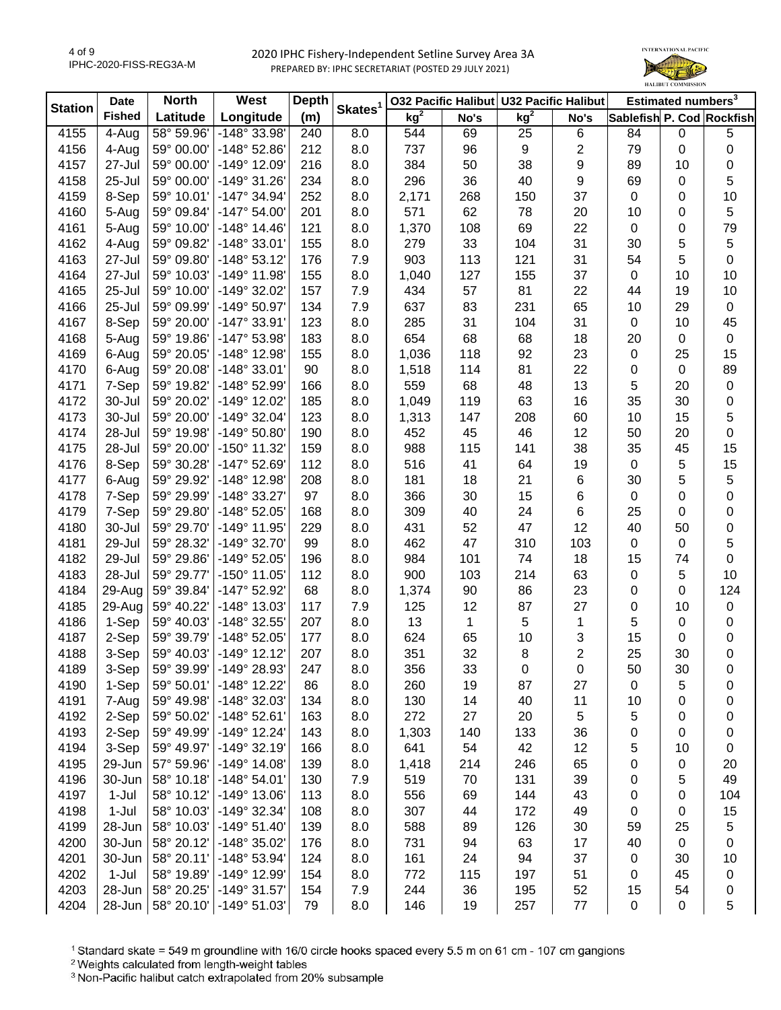

| <b>Station</b> | <b>Date</b>   | <b>North</b> | West                  | <b>Depth</b> | Skates <sup>1</sup> |                 | 032 Pacific Halibut U32 Pacific Halibut |                 |      |             | Estimated numbers <sup>3</sup> |                           |
|----------------|---------------|--------------|-----------------------|--------------|---------------------|-----------------|-----------------------------------------|-----------------|------|-------------|--------------------------------|---------------------------|
|                | <b>Fished</b> | Latitude     | Longitude             | (m)          |                     | kg <sup>2</sup> | No's                                    | kg <sup>2</sup> | No's |             |                                | Sablefish P. Cod Rockfish |
| 4155           | 4-Aug         | 58° 59.96'   | -148° 33.98'          | 240          | 8.0                 | 544             | 69                                      | 25              | 6    | 84          | $\mathbf 0$                    | $\sqrt{5}$                |
| 4156           | 4-Aug         | 59° 00.00'   | -148° 52.86'          | 212          | 8.0                 | 737             | 96                                      | 9               | 2    | 79          | 0                              | 0                         |
| 4157           | 27-Jul        | 59° 00.00'   | -149° 12.09'          | 216          | 8.0                 | 384             | 50                                      | 38              | 9    | 89          | 10                             | 0                         |
| 4158           | 25-Jul        | 59° 00.00'   | $-149°31.26'$         | 234          | 8.0                 | 296             | 36                                      | 40              | 9    | 69          | $\mathbf 0$                    | 5                         |
| 4159           | 8-Sep         | 59° 10.01'   | -147° 34.94'          | 252          | 8.0                 | 2,171           | 268                                     | 150             | 37   | $\mathbf 0$ | 0                              | 10                        |
| 4160           | 5-Aug         | 59° 09.84'   | $-147°54.00'$         | 201          | 8.0                 | 571             | 62                                      | 78              | 20   | 10          | 0                              | 5                         |
| 4161           | 5-Aug         | 59° 10.00'   | $-148°$ 14.46'        | 121          | 8.0                 | 1,370           | 108                                     | 69              | 22   | $\mathbf 0$ | 0                              | 79                        |
| 4162           | 4-Aug         | 59° 09.82'   | -148° 33.01'          | 155          | 8.0                 | 279             | 33                                      | 104             | 31   | 30          | 5                              | 5                         |
| 4163           | 27-Jul        | 59° 09.80'   | $-148°53.12'$         | 176          | 7.9                 | 903             | 113                                     | 121             | 31   | 54          | 5                              | $\pmb{0}$                 |
| 4164           | 27-Jul        | 59° 10.03'   | -149° 11.98'          | 155          | 8.0                 | 1,040           | 127                                     | 155             | 37   | 0           | 10                             | 10                        |
| 4165           | 25-Jul        | 59° 10.00'   | -149° 32.02'          | 157          | 7.9                 | 434             | 57                                      | 81              | 22   | 44          | 19                             | $10$                      |
| 4166           | 25-Jul        | 59° 09.99'   | -149° 50.97'          | 134          | 7.9                 | 637             | 83                                      | 231             | 65   | 10          | 29                             | $\mathbf 0$               |
| 4167           | 8-Sep         | 59° 20.00'   | -147° 33.91'          | 123          | 8.0                 | 285             | 31                                      | 104             | 31   | $\pmb{0}$   | 10                             | 45                        |
| 4168           | 5-Aug         | 59° 19.86'   | -147° 53.98'          | 183          | 8.0                 | 654             | 68                                      | 68              | 18   | 20          | $\mathbf 0$                    | $\mathbf 0$               |
| 4169           | 6-Aug         | 59° 20.05'   | -148° 12.98'          | 155          | 8.0                 | 1,036           | 118                                     | 92              | 23   | 0           | 25                             | 15                        |
| 4170           | 6-Aug         | 59° 20.08'   | -148° 33.01'          | 90           | 8.0                 | 1,518           | 114                                     | 81              | 22   | 0           | $\boldsymbol{0}$               | 89                        |
| 4171           | 7-Sep         | 59° 19.82'   | -148° 52.99'          | 166          | 8.0                 | 559             | 68                                      | 48              | 13   | 5           | 20                             | $\pmb{0}$                 |
| 4172           | 30-Jul        | 59° 20.02'   | -149° 12.02'          | 185          | 8.0                 | 1,049           | 119                                     | 63              | 16   | 35          | 30                             | 0                         |
| 4173           | 30-Jul        | 59° 20.00'   | -149° 32.04'          | 123          | 8.0                 | 1,313           | 147                                     | 208             | 60   | 10          | 15                             | 5                         |
| 4174           | 28-Jul        | 59° 19.98'   | $-149°50.80'$         | 190          | 8.0                 | 452             | 45                                      | 46              | 12   | 50          | 20                             | 0                         |
| 4175           | 28-Jul        | 59° 20.00'   | $-150^{\circ}$ 11.32' | 159          | 8.0                 | 988             | 115                                     | 141             | 38   | 35          | 45                             | 15                        |
| 4176           | 8-Sep         | 59° 30.28'   | -147° 52.69'          | 112          | 8.0                 | 516             | 41                                      | 64              | 19   | $\mathbf 0$ | 5                              | 15                        |
| 4177           | 6-Aug         | 59° 29.92'   | -148° 12.98'          | 208          | 8.0                 | 181             | 18                                      | 21              | 6    | 30          | 5                              | 5                         |
| 4178           | 7-Sep         | 59° 29.99'   | -148° 33.27'          | 97           | 8.0                 | 366             | 30                                      | 15              | 6    | $\mathbf 0$ | $\mathbf 0$                    | 0                         |
| 4179           | 7-Sep         | 59° 29.80'   | -148° 52.05'          | 168          | 8.0                 | 309             | 40                                      | 24              | 6    | 25          | 0                              | 0                         |
| 4180           |               |              |                       | 229          |                     |                 |                                         | 47              | 12   | 40          |                                |                           |
|                | 30-Jul        | 59° 29.70'   | -149° 11.95'          |              | 8.0                 | 431             | 52                                      |                 |      |             | 50                             | 0                         |
| 4181           | 29-Jul        | 59° 28.32'   | -149° 32.70'          | 99           | 8.0                 | 462             | 47                                      | 310             | 103  | 0           | 0                              | 5                         |
| 4182           | 29-Jul        | 59° 29.86'   | -149° 52.05'          | 196          | 8.0                 | 984             | 101                                     | 74              | 18   | 15          | 74                             | $\pmb{0}$                 |
| 4183           | 28-Jul        | 59° 29.77'   | -150° 11.05'          | 112          | 8.0                 | 900             | 103                                     | 214             | 63   | 0           | 5                              | 10                        |
| 4184           | 29-Aug        | 59° 39.84'   | -147° 52.92'          | 68           | 8.0                 | 1,374           | 90                                      | 86              | 23   | 0           | $\mathbf 0$                    | 124                       |
| 4185           | 29-Aug        | 59° 40.22'   | -148° 13.03'          | 117          | 7.9                 | 125             | 12                                      | 87              | 27   | 0           | 10                             | $\pmb{0}$                 |
| 4186           | 1-Sep         | 59° 40.03'   | -148° 32.55'          | 207          | 8.0                 | 13              | $\mathbf{1}$                            | 5               | 1    | 5           | $\mathbf 0$                    | $\pmb{0}$                 |
| 4187           | 2-Sep         | 59° 39.79'   | -148° 52.05'          | 177          | 8.0                 | 624             | 65                                      | 10              | 3    | 15          | $\mathbf 0$                    | 0                         |
| 4188           | 3-Sep         | 59° 40.03'   | $-149°$ 12.12'        | 207          | 8.0                 | 351             | 32                                      | 8               | 2    | 25          | 30                             | 0                         |
| 4189           | 3-Sep         | 59° 39.99'   | -149° 28.93'          | 247          | 8.0                 | 356             | 33                                      | 0               | 0    | 50          | 30                             | 0                         |
| 4190           | 1-Sep         | 59° 50.01'   | -148° 12.22'          | 86           | 8.0                 | 260             | 19                                      | 87              | 27   | 0           | 5                              | 0                         |
| 4191           | 7-Aug         | 59° 49.98'   | -148° 32.03'          | 134          | 8.0                 | 130             | 14                                      | 40              | 11   | 10          | 0                              | 0                         |
| 4192           | 2-Sep         | 59° 50.02'   | -148° 52.61'          | 163          | 8.0                 | 272             | 27                                      | 20              | 5    | 5           | 0                              | 0                         |
| 4193           | 2-Sep         | 59° 49.99'   | -149° 12.24'          | 143          | 8.0                 | 1,303           | 140                                     | 133             | 36   | 0           | 0                              | 0                         |
| 4194           | 3-Sep         | 59° 49.97'   | $-149°32.19'$         | 166          | 8.0                 | 641             | 54                                      | 42              | 12   | 5           | 10                             | 0                         |
| 4195           | 29-Jun        | 57° 59.96'   | $-149°$ 14.08         | 139          | 8.0                 | 1,418           | 214                                     | 246             | 65   | 0           | 0                              | 20                        |
| 4196           | 30-Jun        | 58° 10.18'   | $-148°54.01'$         | 130          | 7.9                 | 519             | 70                                      | 131             | 39   | 0           | 5                              | 49                        |
| 4197           | $1-Jul$       | 58° 10.12'   | -149° 13.06'          | 113          | 8.0                 | 556             | 69                                      | 144             | 43   | 0           | 0                              | 104                       |
| 4198           | $1-Jul$       | 58° 10.03'   | -149° 32.34'          | 108          | 8.0                 | 307             | 44                                      | 172             | 49   | 0           | 0                              | 15                        |
| 4199           | 28-Jun        | 58° 10.03'   | $-149°51.40'$         | 139          | 8.0                 | 588             | 89                                      | 126             | 30   | 59          | 25                             | 5                         |
| 4200           | 30-Jun        | 58° 20.12'   | -148° 35.02'          | 176          | 8.0                 | 731             | 94                                      | 63              | 17   | 40          | $\pmb{0}$                      | 0                         |
| 4201           | 30-Jun        | 58° 20.11'   | -148° 53.94'          | 124          | 8.0                 | 161             | 24                                      | 94              | 37   | 0           | 30                             | 10                        |
| 4202           | $1-Jul$       | 58° 19.89'   | -149° 12.99'          | 154          | 8.0                 | 772             | 115                                     | 197             | 51   | 0           | 45                             | 0                         |
| 4203           | 28-Jun        | 58° 20.25'   | $-149°31.57'$         | 154          | 7.9                 | 244             | 36                                      | 195             | 52   | 15          | 54                             | 0                         |
| 4204           | 28-Jun        | 58° 20.10'   | -149° 51.03'          | 79           | 8.0                 | 146             | 19                                      | 257             | 77   | $\pmb{0}$   | $\mathbf 0$                    | 5                         |

<sup>1</sup> Standard skate = 549 m groundline with 16/0 circle hooks spaced every 5.5 m on 61 cm - 107 cm gangions

2 Weights calculated from length-weight tables<br>
<sup>2</sup> Weights calculated from length-weight tables<br>
<sup>3</sup> Non-Pacific halibut catch extrapolated from 20% subsample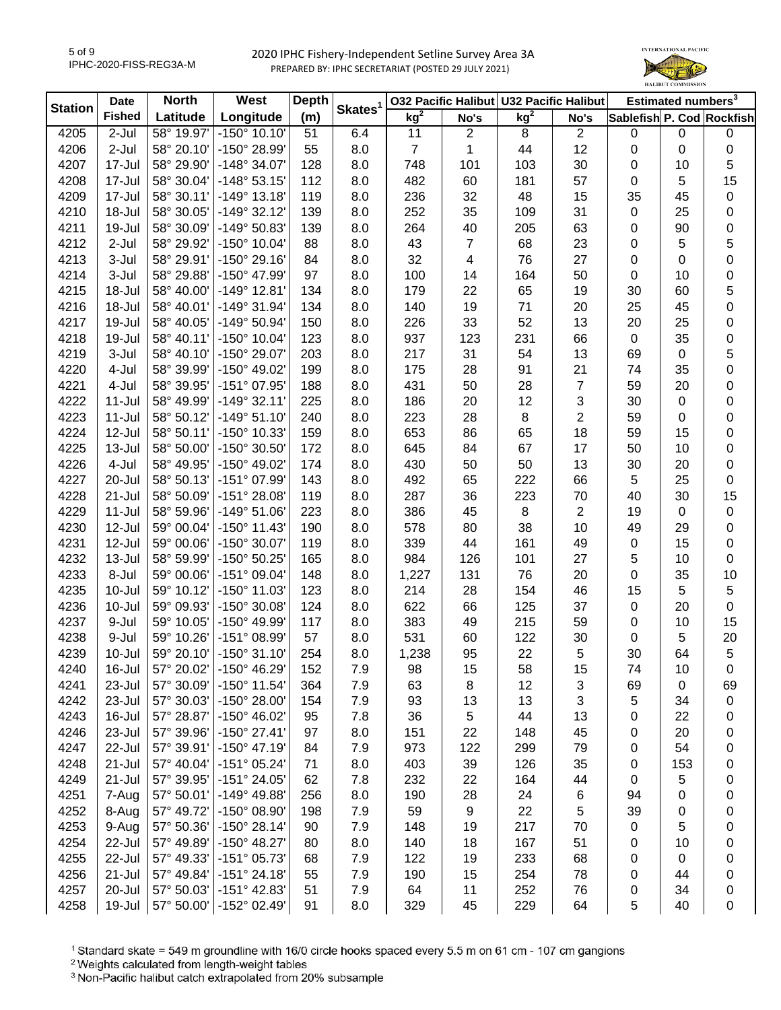

| <b>Station</b> | <b>Date</b>   | <b>North</b> | West                  | <b>Depth</b> | Skates <sup>1</sup> |                 |                | 032 Pacific Halibut U32 Pacific Halibut |                |                           | Estimated numbers <sup>3</sup> |             |
|----------------|---------------|--------------|-----------------------|--------------|---------------------|-----------------|----------------|-----------------------------------------|----------------|---------------------------|--------------------------------|-------------|
|                | <b>Fished</b> | Latitude     | Longitude             | (m)          |                     | kg <sup>2</sup> | No's           | kg <sup>2</sup>                         | No's           | Sablefish P. Cod Rockfish |                                |             |
| 4205           | 2-Jul         | 58° 19.97'   | $-150^{\circ}$ 10.10' | 51           | 6.4                 | 11              | $\overline{2}$ | 8                                       | $\overline{c}$ | $\mathbf 0$               | $\mathbf 0$                    | $\pmb{0}$   |
| 4206           | 2-Jul         | 58° 20.10'   | -150° 28.99'          | 55           | 8.0                 | $\overline{7}$  | 1              | 44                                      | 12             | $\pmb{0}$                 | 0                              | $\pmb{0}$   |
| 4207           | 17-Jul        | 58° 29.90'   | -148° 34.07'          | 128          | 8.0                 | 748             | 101            | 103                                     | 30             | 0                         | 10                             | 5           |
| 4208           | 17-Jul        | 58° 30.04'   | $-148°53.15'$         | 112          | 8.0                 | 482             | 60             | 181                                     | 57             | 0                         | 5                              | 15          |
| 4209           | 17-Jul        | 58° 30.11'   | $-149°$ 13.18         | 119          | 8.0                 | 236             | 32             | 48                                      | 15             | 35                        | 45                             | 0           |
| 4210           | 18-Jul        | 58° 30.05'   | $-149°32.12'$         | 139          | 8.0                 | 252             | 35             | 109                                     | 31             | $\pmb{0}$                 | 25                             | 0           |
| 4211           | 19-Jul        | 58° 30.09'   | -149° 50.83'          | 139          | 8.0                 | 264             | 40             | 205                                     | 63             | 0                         | 90                             | 0           |
| 4212           | $2-Jul$       | 58° 29.92'   | $-150^{\circ}$ 10.04' | 88           | 8.0                 | 43              | $\overline{7}$ | 68                                      | 23             | 0                         | 5                              | 5           |
| 4213           | 3-Jul         | 58° 29.91'   | $-150^{\circ}$ 29.16  | 84           | 8.0                 | 32              | 4              | 76                                      | 27             | 0                         | 0                              | 0           |
| 4214           | 3-Jul         | 58° 29.88'   | -150° 47.99'          | 97           | 8.0                 | 100             | 14             | 164                                     | 50             | 0                         | 10                             | 0           |
| 4215           | 18-Jul        | 58° 40.00'   | $-149°$ 12.81         | 134          | 8.0                 | 179             | 22             | 65                                      | 19             | 30                        | 60                             | 5           |
| 4216           | 18-Jul        | 58° 40.01'   | -149° 31.94'          | 134          | 8.0                 | 140             | 19             | 71                                      | 20             | 25                        | 45                             | 0           |
| 4217           | 19-Jul        | 58° 40.05'   | $-149°50.94'$         | 150          | 8.0                 | 226             | 33             | 52                                      | 13             | 20                        | 25                             | 0           |
| 4218           | 19-Jul        | 58° 40.11'   | -150° 10.04'          | 123          | 8.0                 | 937             | 123            | 231                                     | 66             | $\boldsymbol{0}$          | 35                             | 0           |
| 4219           | 3-Jul         | 58° 40.10'   | -150° 29.07'          | 203          | 8.0                 | 217             | 31             | 54                                      | 13             | 69                        | $\mathbf 0$                    | 5           |
| 4220           | 4-Jul         | 58° 39.99'   | $-150^{\circ}$ 49.02  | 199          | 8.0                 | 175             | 28             | 91                                      | 21             | 74                        | 35                             | 0           |
| 4221           | 4-Jul         | 58° 39.95'   | -151° 07.95'          | 188          | 8.0                 | 431             | 50             | 28                                      | 7              | 59                        | 20                             | 0           |
| 4222           | $11 -$ Jul    | 58° 49.99'   | $-149°32.11'$         | 225          | 8.0                 | 186             | 20             | 12                                      | 3              | 30                        | $\mathbf 0$                    | 0           |
| 4223           | $11 -$ Jul    | 58° 50.12'   | $-149°51.10'$         | 240          | 8.0                 | 223             | 28             | $\bf 8$                                 | 2              | 59                        | 0                              | 0           |
| 4224           | 12-Jul        | 58° 50.11'   | -150° 10.33'          | 159          | 8.0                 | 653             | 86             | 65                                      | 18             | 59                        | 15                             | 0           |
| 4225           | 13-Jul        | 58° 50.00'   | -150° 30.50'          | 172          | 8.0                 | 645             | 84             | 67                                      | 17             | 50                        | 10                             | 0           |
| 4226           | 4-Jul         | 58° 49.95'   | -150° 49.02'          | 174          | 8.0                 | 430             | 50             | 50                                      | 13             |                           | 20                             | 0           |
|                |               |              |                       |              |                     |                 |                |                                         |                | 30                        |                                |             |
| 4227           | 20-Jul        | 58° 50.13'   | -151° 07.99'          | 143          | 8.0                 | 492             | 65             | 222                                     | 66             | $\sqrt{5}$                | 25                             | 0           |
| 4228           | $21 -$ Jul    | 58° 50.09'   | $-151^{\circ} 28.08'$ | 119          | 8.0                 | 287             | 36             | 223                                     | 70             | 40                        | 30                             | 15          |
| 4229           | $11 -$ Jul    | 58° 59.96'   | $-149°51.06'$         | 223          | 8.0                 | 386             | 45             | $\bf 8$                                 | 2              | 19                        | $\mathbf 0$                    | 0           |
| 4230           | 12-Jul        | 59° 00.04'   | $-150^{\circ}$ 11.43  | 190          | 8.0                 | 578             | 80             | 38                                      | 10             | 49                        | 29                             | 0           |
| 4231           | 12-Jul        | 59° 00.06'   | -150° 30.07'          | 119          | 8.0                 | 339             | 44             | 161                                     | 49             | $\pmb{0}$                 | 15                             | 0           |
| 4232           | 13-Jul        | 58° 59.99'   | -150° 50.25'          | 165          | 8.0                 | 984             | 126            | 101                                     | 27             | 5                         | 10                             | 0           |
| 4233           | 8-Jul         | 59° 00.06'   | -151° 09.04'          | 148          | 8.0                 | 1,227           | 131            | 76                                      | 20             | 0                         | 35                             | 10          |
| 4235           | 10-Jul        | 59° 10.12'   | -150° 11.03'          | 123          | 8.0                 | 214             | 28             | 154                                     | 46             | 15                        | 5                              | 5           |
| 4236           | 10-Jul        | 59° 09.93'   | -150° 30.08'          | 124          | 8.0                 | 622             | 66             | 125                                     | 37             | $\pmb{0}$                 | 20                             | $\mathbf 0$ |
| 4237           | 9-Jul         | 59° 10.05'   | -150° 49.99'          | 117          | 8.0                 | 383             | 49             | 215                                     | 59             | $\pmb{0}$                 | 10                             | 15          |
| 4238           | 9-Jul         | 59° 10.26'   | -151° 08.99'          | 57           | 8.0                 | 531             | 60             | 122                                     | 30             | 0                         | 5                              | 20          |
| 4239           | $10 -$ Jul    | 59° 20.10'   | $-150^{\circ}$ 31.10  | 254          | 8.0                 | 1,238           | 95             | 22                                      | 5              | 30                        | 64                             | 5           |
| 4240           | 16-Jul        | 57° 20.02'   | $-150^{\circ}$ 46.29  | 152          | 7.9                 | 98              | 15             | 58                                      | 15             | 74                        | 10                             | 0           |
| 4241           | 23-Jul        | 57° 30.09'   | $-150^{\circ}$ 11.54  | 364          | 7.9                 | 63              | 8              | 12                                      | 3              | 69                        | 0                              | 69          |
| 4242           | 23-Jul        | 57° 30.03'   | -150° 28.00'          | 154          | 7.9                 | 93              | 13             | 13                                      | 3              | 5                         | 34                             | 0           |
| 4243           | 16-Jul        | 57° 28.87'   | -150° 46.02'          | 95           | 7.8                 | 36              | 5              | 44                                      | 13             | 0                         | 22                             | 0           |
| 4246           | 23-Jul        | 57° 39.96'   | $-150^{\circ}$ 27.41' | 97           | 8.0                 | 151             | 22             | 148                                     | 45             | 0                         | 20                             | 0           |
| 4247           | 22-Jul        | 57° 39.91'   | $-150^{\circ}$ 47.19' | 84           | 7.9                 | 973             | 122            | 299                                     | 79             | 0                         | 54                             | 0           |
| 4248           | 21-Jul        | 57° 40.04'   | $-151^{\circ}$ 05.24' | 71           | 8.0                 | 403             | 39             | 126                                     | 35             | 0                         | 153                            | 0           |
| 4249           | 21-Jul        | 57° 39.95'   | -151° 24.05'          | 62           | 7.8                 | 232             | 22             | 164                                     | 44             | 0                         | 5                              | 0           |
| 4251           | 7-Aug         | 57° 50.01'   | -149° 49.88'          | 256          | 8.0                 | 190             | 28             | 24                                      | 6              | 94                        | 0                              | 0           |
| 4252           | 8-Aug         | 57° 49.72'   | -150° 08.90'          | 198          | 7.9                 | 59              | 9              | 22                                      | 5              | 39                        | 0                              | 0           |
| 4253           | 9-Aug         | 57° 50.36'   | $-150^{\circ}$ 28.14  | 90           | 7.9                 | 148             | 19             | 217                                     | 70             | 0                         | 5                              | 0           |
| 4254           | 22-Jul        | 57° 49.89'   | -150° 48.27'          | 80           | 8.0                 | 140             | 18             | 167                                     | 51             | 0                         | 10                             | 0           |
| 4255           | 22-Jul        | 57° 49.33'   | -151° 05.73'          | 68           | 7.9                 | 122             | 19             | 233                                     | 68             | 0                         | 0                              | 0           |
| 4256           | 21-Jul        | 57° 49.84'   | $-151°$ 24.18         | 55           | 7.9                 | 190             | 15             | 254                                     | 78             | 0                         | 44                             | 0           |
| 4257           | 20-Jul        | 57° 50.03'   | $-151^{\circ}$ 42.83' | 51           | 7.9                 | 64              | 11             | 252                                     | 76             | 0                         | 34                             | 0           |
| 4258           | 19-Jul        | 57° 50.00'   | $-152^{\circ}$ 02.49  | 91           | 8.0                 | 329             | 45             | 229                                     | 64             | 5                         | 40                             | 0           |

<sup>1</sup> Standard skate = 549 m groundline with 16/0 circle hooks spaced every 5.5 m on 61 cm - 107 cm gangions

<sup>2</sup> Weights calculated from length-weight tables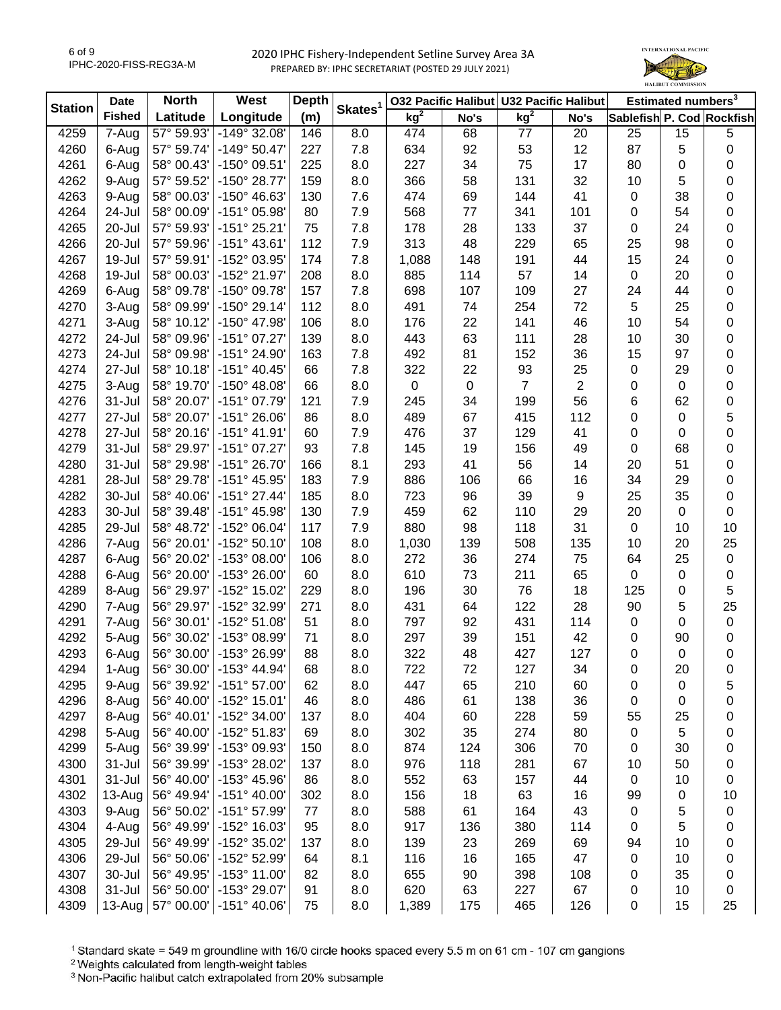

| <b>Station</b> | <b>Date</b>   | <b>North</b> | West                         | <b>Depth</b> | Skates <sup>1</sup> |                 |           | 032 Pacific Halibut U32 Pacific Halibut |                         |                  | Estimated numbers <sup>3</sup> |                           |
|----------------|---------------|--------------|------------------------------|--------------|---------------------|-----------------|-----------|-----------------------------------------|-------------------------|------------------|--------------------------------|---------------------------|
|                | <b>Fished</b> | Latitude     | Longitude                    | (m)          |                     | kg <sup>2</sup> | No's      | kg <sup>2</sup>                         | No's                    |                  |                                | Sablefish P. Cod Rockfish |
| 4259           | 7-Aug         | 57° 59.93'   | -149° 32.08'                 | 146          | 8.0                 | 474             | 68        | 77                                      | 20                      | 25               | 15                             | 5                         |
| 4260           | 6-Aug         | 57° 59.74'   | $-149°50.47'$                | 227          | 7.8                 | 634             | 92        | 53                                      | 12                      | 87               | 5                              | 0                         |
| 4261           | 6-Aug         | 58° 00.43'   | -150° 09.51'                 | 225          | 8.0                 | 227             | 34        | 75                                      | 17                      | 80               | $\mathbf 0$                    | 0                         |
| 4262           | 9-Aug         | 57° 59.52'   | -150° 28.77'                 | 159          | 8.0                 | 366             | 58        | 131                                     | 32                      | 10               | 5                              | 0                         |
| 4263           | 9-Aug         | 58° 00.03'   | -150° 46.63'                 | 130          | 7.6                 | 474             | 69        | 144                                     | 41                      | $\mathbf 0$      | 38                             | 0                         |
| 4264           | 24-Jul        | 58° 00.09'   | -151° 05.98'                 | 80           | 7.9                 | 568             | $77$      | 341                                     | 101                     | 0                | 54                             | 0                         |
| 4265           | 20-Jul        | 57° 59.93'   | $-151°$ 25.21'               | 75           | 7.8                 | 178             | 28        | 133                                     | 37                      | 0                | 24                             | 0                         |
| 4266           | 20-Jul        | 57° 59.96'   | $-151^{\circ}$ 43.61         | 112          | 7.9                 | 313             | 48        | 229                                     | 65                      | 25               | 98                             | 0                         |
| 4267           | 19-Jul        | 57° 59.91'   | -152° 03.95'                 | 174          | 7.8                 | 1,088           | 148       | 191                                     | 44                      | 15               | 24                             | 0                         |
| 4268           | 19-Jul        | 58° 00.03'   | -152° 21.97'                 | 208          | 8.0                 | 885             | 114       | 57                                      | 14                      | $\boldsymbol{0}$ | 20                             | 0                         |
| 4269           | 6-Aug         | 58° 09.78'   | -150° 09.78'                 | 157          | 7.8                 | 698             | 107       | 109                                     | 27                      | 24               | 44                             | 0                         |
| 4270           | 3-Aug         | 58° 09.99'   | $-150^{\circ}$ 29.14         | 112          | 8.0                 | 491             | 74        | 254                                     | 72                      | 5                | 25                             | 0                         |
| 4271           | 3-Aug         | 58° 10.12'   | -150° 47.98'                 | 106          | 8.0                 | 176             | 22        | 141                                     | 46                      | 10               | 54                             | 0                         |
| 4272           | 24-Jul        | 58° 09.96'   | $-151°07.27'$                | 139          | 8.0                 | 443             | 63        | 111                                     | 28                      | 10               | 30                             | 0                         |
| 4273           | 24-Jul        | 58° 09.98'   | $-151^{\circ} 24.90^{\circ}$ | 163          | 7.8                 | 492             | 81        | 152                                     | 36                      | 15               | 97                             | 0                         |
| 4274           | 27-Jul        | 58° 10.18'   | $-151^{\circ}$ 40.45         | 66           | 7.8                 | 322             | 22        | 93                                      | 25                      | $\pmb{0}$        | 29                             | 0                         |
| 4275           | 3-Aug         | 58° 19.70'   | $-150^{\circ}$ 48.08         | 66           | 8.0                 | 0               | $\pmb{0}$ | $\overline{7}$                          | $\overline{\mathbf{c}}$ | 0                | $\mathbf 0$                    | 0                         |
| 4276           | 31-Jul        | 58° 20.07'   | -151° 07.79'                 | 121          | 7.9                 | 245             | 34        | 199                                     | 56                      | 6                | 62                             | 0                         |
| 4277           | 27-Jul        | 58° 20.07'   | $-151^{\circ} 26.06'$        | 86           | 8.0                 | 489             | 67        | 415                                     | 112                     | 0                | 0                              | 5                         |
| 4278           | 27-Jul        | 58° 20.16'   | $-151°$ 41.91'               | 60           | 7.9                 | 476             | 37        | 129                                     | 41                      | 0                | 0                              | 0                         |
| 4279           | $31 -$ Jul    | 58° 29.97'   | -151° 07.27'                 | 93           | 7.8                 | 145             | 19        | 156                                     | 49                      | 0                | 68                             | 0                         |
| 4280           | 31-Jul        | 58° 29.98'   | -151° 26.70'                 | 166          | 8.1                 | 293             | 41        | 56                                      | 14                      | 20               | 51                             | 0                         |
| 4281           | 28-Jul        | 58° 29.78'   | -151° 45.95'                 | 183          | 7.9                 | 886             | 106       | 66                                      | 16                      | 34               | 29                             | 0                         |
| 4282           | 30-Jul        | 58° 40.06'   | $-151°$ 27.44                | 185          | 8.0                 | 723             | 96        | 39                                      | 9                       | 25               | 35                             | 0                         |
| 4283           | 30-Jul        | 58° 39.48'   | $-151^{\circ}$ 45.98         | 130          | 7.9                 | 459             | 62        | 110                                     | 29                      | 20               | $\mathbf 0$                    | 0                         |
| 4285           | 29-Jul        | 58° 48.72'   | -152° 06.04'                 | 117          | 7.9                 | 880             | 98        | 118                                     | 31                      | $\boldsymbol{0}$ | 10                             | 10                        |
| 4286           | 7-Aug         | 56° 20.01'   | -152° 50.10'                 | 108          | 8.0                 | 1,030           | 139       | 508                                     | 135                     | 10               | 20                             | 25                        |
| 4287           | 6-Aug         | 56° 20.02'   | -153° 08.00'                 | 106          | 8.0                 | 272             | 36        | 274                                     | 75                      | 64               | 25                             | $\mathbf 0$               |
| 4288           | 6-Aug         | 56° 20.00'   | $-153^{\circ}$ 26.00         | 60           | 8.0                 | 610             | 73        | 211                                     | 65                      | $\boldsymbol{0}$ | $\pmb{0}$                      | $\mathbf 0$               |
| 4289           | 8-Aug         | 56° 29.97'   | -152° 15.02'                 | 229          | 8.0                 | 196             | 30        | 76                                      | 18                      | 125              | $\mathbf 0$                    | 5                         |
| 4290           | 7-Aug         | 56° 29.97'   | -152° 32.99'                 | 271          | 8.0                 | 431             | 64        | 122                                     | 28                      | 90               | 5                              | 25                        |
| 4291           | 7-Aug         | 56° 30.01'   | -152° 51.08'                 | 51           | 8.0                 | 797             | 92        | 431                                     | 114                     | 0                | 0                              | 0                         |
| 4292           | 5-Aug         | 56° 30.02'   | -153° 08.99'                 | 71           | 8.0                 | 297             | 39        | 151                                     | 42                      | $\mathbf 0$      | 90                             | $\pmb{0}$                 |
| 4293           | 6-Aug         | 56° 30.00'   | -153° 26.99'                 | 88           | 8.0                 | 322             | 48        | 427                                     | 127                     | $\mathbf 0$      | $\mathbf 0$                    | $\pmb{0}$                 |
| 4294           | 1-Aug         | 56° 30.00'   | $-153^{\circ}$ 44.94         | 68           | 8.0                 | 722             | 72        | 127                                     | 34                      | 0                | 20                             | 0                         |
| 4295           | 9-Aug         | 56° 39.92'   | $-151°57.00'$                | 62           | 8.0                 | 447             | 65        | 210                                     | 60                      | 0                | 0                              | 5                         |
| 4296           | 8-Aug         | 56° 40.00'   | -152° 15.01'                 | 46           | 8.0                 | 486             | 61        | 138                                     | 36                      | 0                | 0                              | 0                         |
| 4297           | 8-Aug         | 56° 40.01'   | -152° 34.00'                 | 137          | 8.0                 | 404             | 60        | 228                                     | 59                      | 55               | 25                             | 0                         |
| 4298           | 5-Aug         | 56° 40.00'   | -152° 51.83'                 | 69           | 8.0                 | 302             | 35        | 274                                     | 80                      | 0                | 5                              | 0                         |
| 4299           | 5-Aug         | 56° 39.99'   | -153° 09.93'                 | 150          | 8.0                 | 874             | 124       | 306                                     | 70                      | 0                | 30                             | 0                         |
| 4300           | 31-Jul        | 56° 39.99'   | -153° 28.02'                 | 137          | 8.0                 | 976             | 118       | 281                                     | 67                      | 10               | 50                             | 0                         |
| 4301           | 31-Jul        | 56° 40.00'   | -153° 45.96'                 | 86           | 8.0                 | 552             | 63        | 157                                     | 44                      | 0                | 10                             | 0                         |
| 4302           | 13-Aug        | 56° 49.94'   | $-151^{\circ}$ 40.00         | 302          | 8.0                 | 156             | 18        | 63                                      | 16                      | 99               | 0                              | 10                        |
| 4303           | 9-Aug         | 56° 50.02'   | -151° 57.99'                 | 77           | 8.0                 | 588             | 61        | 164                                     | 43                      | 0                | 5                              | 0                         |
| 4304           | 4-Aug         | 56° 49.99'   | -152° 16.03'                 | 95           | 8.0                 | 917             | 136       | 380                                     | 114                     | 0                | 5                              | 0                         |
| 4305           | 29-Jul        | 56° 49.99'   | -152° 35.02'                 | 137          | 8.0                 | 139             | 23        | 269                                     | 69                      | 94               | 10                             |                           |
| 4306           | 29-Jul        | 56° 50.06'   | -152° 52.99'                 | 64           | 8.1                 | 116             | 16        | 165                                     | 47                      | 0                | 10                             | 0<br>0                    |
| 4307           | 30-Jul        | 56° 49.95'   | -153° 11.00'                 | 82           | 8.0                 | 655             | 90        | 398                                     | 108                     | 0                | 35                             | 0                         |
| 4308           | 31-Jul        | 56° 50.00'   | -153° 29.07'                 | 91           | 8.0                 | 620             | 63        | 227                                     | 67                      | 0                | 10                             | 0                         |
| 4309           | 13-Aug        | 57° 00.00'   | $-151^{\circ}$ 40.06'        | 75           | 8.0                 | 1,389           | 175       | 465                                     | 126                     | 0                | 15                             | 25                        |
|                |               |              |                              |              |                     |                 |           |                                         |                         |                  |                                |                           |

<sup>1</sup> Standard skate = 549 m groundline with 16/0 circle hooks spaced every 5.5 m on 61 cm - 107 cm gangions

<sup>2</sup> Weights calculated from length-weight tables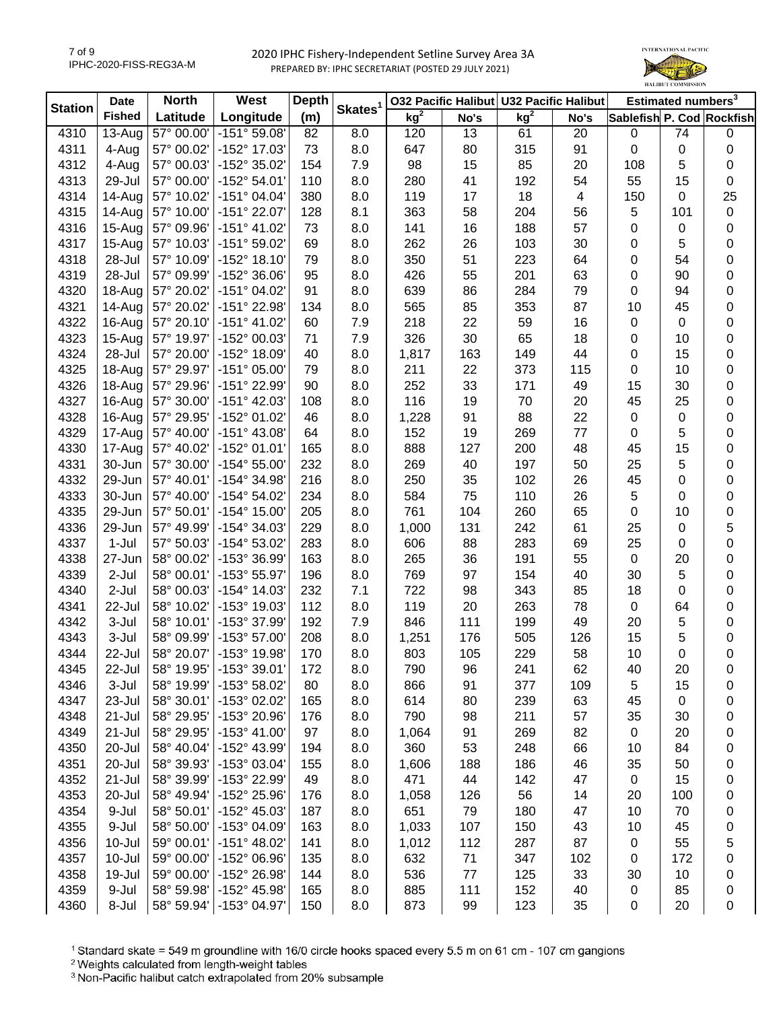

| Skates <sup>1</sup><br><b>Station</b><br>kg <sup>2</sup><br>kg <sup>2</sup><br><b>Fished</b><br>Longitude<br>(m)<br>Latitude<br>Sablefish P. Cod Rockfish<br>No's<br>No's<br>4310<br>57° 00.00'<br>$-151°59.08'$<br>8.0<br>13<br>$13-Auq$<br>82<br>120<br>61<br>20<br>$\pmb{0}$<br>74<br>0<br>57° 00.02'<br>-152° 17.03'<br>73<br>315<br>91<br>$\pmb{0}$<br>4311<br>4-Aug<br>8.0<br>647<br>80<br>$\mathbf 0$<br>$\pmb{0}$<br>4312<br>57° 00.03'<br>-152° 35.02'<br>154<br>7.9<br>98<br>15<br>85<br>20<br>5<br>4-Aug<br>108<br>0<br>4313<br>29-Jul<br>57° 00.00'<br>$-152^{\circ} 54.01'$<br>110<br>8.0<br>280<br>41<br>192<br>54<br>55<br>15<br>0<br>18<br>25<br>57° 10.02'<br>$-151^{\circ}$ 04.04'<br>119<br>17<br>4314<br>14-Aug<br>380<br>8.0<br>4<br>150<br>0<br>57° 10.00'<br>-151° 22.07'<br>58<br>204<br>5<br>$\pmb{0}$<br>4315<br>14-Aug<br>128<br>8.1<br>363<br>56<br>101<br>57° 09.96'<br>$-151^{\circ}$ 41.02'<br>16<br>188<br>57<br>4316<br>15-Aug<br>73<br>8.0<br>141<br>0<br>0<br>0<br>57° 10.03'<br>-151° 59.02'<br>262<br>26<br>103<br>30<br>5<br>4317<br>15-Aug<br>69<br>8.0<br>0<br>0<br>28-Jul<br>57° 10.09'<br>$-152^{\circ}$ 18.10'<br>350<br>51<br>223<br>64<br>0<br>0<br>4318<br>79<br>8.0<br>54<br>63<br>57° 09.99'<br>-152° 36.06'<br>95<br>55<br>201<br>0<br>0<br>4319<br>28-Jul<br>8.0<br>426<br>90<br>4320<br>57° 20.02'<br>-151° 04.02'<br>91<br>8.0<br>639<br>86<br>284<br>79<br>0<br>0<br>18-Aug<br>94<br>4321<br>57° 20.02'<br>-151° 22.98'<br>134<br>8.0<br>565<br>85<br>353<br>87<br>10<br>45<br>0<br>14-Aug<br>22<br>16<br>4322<br>$-151^{\circ}$ 41.02<br>7.9<br>218<br>59<br>0<br>16-Aug<br>57° 20.10'<br>60<br>$\pmb{0}$<br>$\mathbf 0$<br>326<br>0<br>4323<br>-152° 00.03'<br>71<br>7.9<br>30<br>65<br>18<br>0<br>$15-Au$ g<br>57° 19.97'<br>10<br>0<br>4324<br>28-Jul<br>57° 20.00'<br>-152° 18.09'<br>40<br>8.0<br>1,817<br>163<br>149<br>44<br>0<br>15<br>4325<br>$-151^{\circ}$ 05.00<br>79<br>8.0<br>211<br>22<br>373<br>115<br>0<br>0<br>18-Aug<br>57° 29.97'<br>10<br>0<br>4326<br>-151° 22.99'<br>252<br>33<br>171<br>49<br>30<br>18-Aug<br>57° 29.96'<br>90<br>8.0<br>15<br>0<br>$-151^{\circ}$ 42.03'<br>116<br>19<br>70<br>20<br>45<br>25<br>4327<br>16-Aug<br>57° 30.00'<br>108<br>8.0<br>4328<br>16-Aug<br>57° 29.95'<br>-152° 01.02'<br>91<br>88<br>22<br>0<br>46<br>8.0<br>1,228<br>$\pmb{0}$<br>$\mathbf 0$<br>4329<br>17-Aug<br>57° 40.00'<br>$-151^{\circ}$ 43.08'<br>19<br>269<br>77<br>5<br>64<br>8.0<br>152<br>$\pmb{0}$<br>0<br>4330<br>17-Aug<br>57° 40.02'<br>-152° 01.01'<br>888<br>127<br>200<br>48<br>0<br>165<br>8.0<br>45<br>15<br>57° 30.00'<br>$-154^{\circ} 55.00'$<br>269<br>197<br>0<br>4331<br>30-Jun<br>232<br>8.0<br>40<br>50<br>25<br>5<br>57° 40.01'<br>-154° 34.98'<br>250<br>102<br>26<br>0<br>4332<br>29-Jun<br>216<br>8.0<br>35<br>45<br>0<br>4333<br>30-Jun<br>57° 40.00'<br>-154° 54.02'<br>234<br>8.0<br>584<br>75<br>110<br>26<br>5<br>0<br>0<br>29-Jun<br>57° 50.01'<br>-154° 15.00'<br>8.0<br>761<br>104<br>260<br>65<br>$\pmb{0}$<br>0<br>4335<br>205<br>10<br>5<br>57° 49.99'<br>-154° 34.03'<br>229<br>8.0<br>131<br>242<br>61<br>25<br>4336<br>29-Jun<br>1,000<br>$\mathbf 0$<br>0<br>$1-Jul$<br>57° 50.03'<br>-154° 53.02'<br>8.0<br>88<br>283<br>69<br>25<br>$\pmb{0}$<br>4337<br>283<br>606<br>55<br>4338<br>58° 00.02'<br>-153° 36.99'<br>163<br>8.0<br>265<br>36<br>191<br>$\boldsymbol{0}$<br>20<br>0<br>27-Jun |
|--------------------------------------------------------------------------------------------------------------------------------------------------------------------------------------------------------------------------------------------------------------------------------------------------------------------------------------------------------------------------------------------------------------------------------------------------------------------------------------------------------------------------------------------------------------------------------------------------------------------------------------------------------------------------------------------------------------------------------------------------------------------------------------------------------------------------------------------------------------------------------------------------------------------------------------------------------------------------------------------------------------------------------------------------------------------------------------------------------------------------------------------------------------------------------------------------------------------------------------------------------------------------------------------------------------------------------------------------------------------------------------------------------------------------------------------------------------------------------------------------------------------------------------------------------------------------------------------------------------------------------------------------------------------------------------------------------------------------------------------------------------------------------------------------------------------------------------------------------------------------------------------------------------------------------------------------------------------------------------------------------------------------------------------------------------------------------------------------------------------------------------------------------------------------------------------------------------------------------------------------------------------------------------------------------------------------------------------------------------------------------------------------------------------------------------------------------------------------------------------------------------------------------------------------------------------------------------------------------------------------------------------------------------------------------------------------------------------------------------------------------------------------------------------------------------------------------------------------------------------------------------------------------------------------------------------------------------------------------------------------------------------------------------------------------------------------------------------------------------------------------------------------------------------------------------------------------------------------------------------------------------------------------------------------------------------------------------------------------------------------------------------------------------------|
|                                                                                                                                                                                                                                                                                                                                                                                                                                                                                                                                                                                                                                                                                                                                                                                                                                                                                                                                                                                                                                                                                                                                                                                                                                                                                                                                                                                                                                                                                                                                                                                                                                                                                                                                                                                                                                                                                                                                                                                                                                                                                                                                                                                                                                                                                                                                                                                                                                                                                                                                                                                                                                                                                                                                                                                                                                                                                                                                                                                                                                                                                                                                                                                                                                                                                                                                                                                                                    |
|                                                                                                                                                                                                                                                                                                                                                                                                                                                                                                                                                                                                                                                                                                                                                                                                                                                                                                                                                                                                                                                                                                                                                                                                                                                                                                                                                                                                                                                                                                                                                                                                                                                                                                                                                                                                                                                                                                                                                                                                                                                                                                                                                                                                                                                                                                                                                                                                                                                                                                                                                                                                                                                                                                                                                                                                                                                                                                                                                                                                                                                                                                                                                                                                                                                                                                                                                                                                                    |
|                                                                                                                                                                                                                                                                                                                                                                                                                                                                                                                                                                                                                                                                                                                                                                                                                                                                                                                                                                                                                                                                                                                                                                                                                                                                                                                                                                                                                                                                                                                                                                                                                                                                                                                                                                                                                                                                                                                                                                                                                                                                                                                                                                                                                                                                                                                                                                                                                                                                                                                                                                                                                                                                                                                                                                                                                                                                                                                                                                                                                                                                                                                                                                                                                                                                                                                                                                                                                    |
|                                                                                                                                                                                                                                                                                                                                                                                                                                                                                                                                                                                                                                                                                                                                                                                                                                                                                                                                                                                                                                                                                                                                                                                                                                                                                                                                                                                                                                                                                                                                                                                                                                                                                                                                                                                                                                                                                                                                                                                                                                                                                                                                                                                                                                                                                                                                                                                                                                                                                                                                                                                                                                                                                                                                                                                                                                                                                                                                                                                                                                                                                                                                                                                                                                                                                                                                                                                                                    |
|                                                                                                                                                                                                                                                                                                                                                                                                                                                                                                                                                                                                                                                                                                                                                                                                                                                                                                                                                                                                                                                                                                                                                                                                                                                                                                                                                                                                                                                                                                                                                                                                                                                                                                                                                                                                                                                                                                                                                                                                                                                                                                                                                                                                                                                                                                                                                                                                                                                                                                                                                                                                                                                                                                                                                                                                                                                                                                                                                                                                                                                                                                                                                                                                                                                                                                                                                                                                                    |
|                                                                                                                                                                                                                                                                                                                                                                                                                                                                                                                                                                                                                                                                                                                                                                                                                                                                                                                                                                                                                                                                                                                                                                                                                                                                                                                                                                                                                                                                                                                                                                                                                                                                                                                                                                                                                                                                                                                                                                                                                                                                                                                                                                                                                                                                                                                                                                                                                                                                                                                                                                                                                                                                                                                                                                                                                                                                                                                                                                                                                                                                                                                                                                                                                                                                                                                                                                                                                    |
|                                                                                                                                                                                                                                                                                                                                                                                                                                                                                                                                                                                                                                                                                                                                                                                                                                                                                                                                                                                                                                                                                                                                                                                                                                                                                                                                                                                                                                                                                                                                                                                                                                                                                                                                                                                                                                                                                                                                                                                                                                                                                                                                                                                                                                                                                                                                                                                                                                                                                                                                                                                                                                                                                                                                                                                                                                                                                                                                                                                                                                                                                                                                                                                                                                                                                                                                                                                                                    |
|                                                                                                                                                                                                                                                                                                                                                                                                                                                                                                                                                                                                                                                                                                                                                                                                                                                                                                                                                                                                                                                                                                                                                                                                                                                                                                                                                                                                                                                                                                                                                                                                                                                                                                                                                                                                                                                                                                                                                                                                                                                                                                                                                                                                                                                                                                                                                                                                                                                                                                                                                                                                                                                                                                                                                                                                                                                                                                                                                                                                                                                                                                                                                                                                                                                                                                                                                                                                                    |
|                                                                                                                                                                                                                                                                                                                                                                                                                                                                                                                                                                                                                                                                                                                                                                                                                                                                                                                                                                                                                                                                                                                                                                                                                                                                                                                                                                                                                                                                                                                                                                                                                                                                                                                                                                                                                                                                                                                                                                                                                                                                                                                                                                                                                                                                                                                                                                                                                                                                                                                                                                                                                                                                                                                                                                                                                                                                                                                                                                                                                                                                                                                                                                                                                                                                                                                                                                                                                    |
|                                                                                                                                                                                                                                                                                                                                                                                                                                                                                                                                                                                                                                                                                                                                                                                                                                                                                                                                                                                                                                                                                                                                                                                                                                                                                                                                                                                                                                                                                                                                                                                                                                                                                                                                                                                                                                                                                                                                                                                                                                                                                                                                                                                                                                                                                                                                                                                                                                                                                                                                                                                                                                                                                                                                                                                                                                                                                                                                                                                                                                                                                                                                                                                                                                                                                                                                                                                                                    |
|                                                                                                                                                                                                                                                                                                                                                                                                                                                                                                                                                                                                                                                                                                                                                                                                                                                                                                                                                                                                                                                                                                                                                                                                                                                                                                                                                                                                                                                                                                                                                                                                                                                                                                                                                                                                                                                                                                                                                                                                                                                                                                                                                                                                                                                                                                                                                                                                                                                                                                                                                                                                                                                                                                                                                                                                                                                                                                                                                                                                                                                                                                                                                                                                                                                                                                                                                                                                                    |
|                                                                                                                                                                                                                                                                                                                                                                                                                                                                                                                                                                                                                                                                                                                                                                                                                                                                                                                                                                                                                                                                                                                                                                                                                                                                                                                                                                                                                                                                                                                                                                                                                                                                                                                                                                                                                                                                                                                                                                                                                                                                                                                                                                                                                                                                                                                                                                                                                                                                                                                                                                                                                                                                                                                                                                                                                                                                                                                                                                                                                                                                                                                                                                                                                                                                                                                                                                                                                    |
|                                                                                                                                                                                                                                                                                                                                                                                                                                                                                                                                                                                                                                                                                                                                                                                                                                                                                                                                                                                                                                                                                                                                                                                                                                                                                                                                                                                                                                                                                                                                                                                                                                                                                                                                                                                                                                                                                                                                                                                                                                                                                                                                                                                                                                                                                                                                                                                                                                                                                                                                                                                                                                                                                                                                                                                                                                                                                                                                                                                                                                                                                                                                                                                                                                                                                                                                                                                                                    |
|                                                                                                                                                                                                                                                                                                                                                                                                                                                                                                                                                                                                                                                                                                                                                                                                                                                                                                                                                                                                                                                                                                                                                                                                                                                                                                                                                                                                                                                                                                                                                                                                                                                                                                                                                                                                                                                                                                                                                                                                                                                                                                                                                                                                                                                                                                                                                                                                                                                                                                                                                                                                                                                                                                                                                                                                                                                                                                                                                                                                                                                                                                                                                                                                                                                                                                                                                                                                                    |
|                                                                                                                                                                                                                                                                                                                                                                                                                                                                                                                                                                                                                                                                                                                                                                                                                                                                                                                                                                                                                                                                                                                                                                                                                                                                                                                                                                                                                                                                                                                                                                                                                                                                                                                                                                                                                                                                                                                                                                                                                                                                                                                                                                                                                                                                                                                                                                                                                                                                                                                                                                                                                                                                                                                                                                                                                                                                                                                                                                                                                                                                                                                                                                                                                                                                                                                                                                                                                    |
|                                                                                                                                                                                                                                                                                                                                                                                                                                                                                                                                                                                                                                                                                                                                                                                                                                                                                                                                                                                                                                                                                                                                                                                                                                                                                                                                                                                                                                                                                                                                                                                                                                                                                                                                                                                                                                                                                                                                                                                                                                                                                                                                                                                                                                                                                                                                                                                                                                                                                                                                                                                                                                                                                                                                                                                                                                                                                                                                                                                                                                                                                                                                                                                                                                                                                                                                                                                                                    |
|                                                                                                                                                                                                                                                                                                                                                                                                                                                                                                                                                                                                                                                                                                                                                                                                                                                                                                                                                                                                                                                                                                                                                                                                                                                                                                                                                                                                                                                                                                                                                                                                                                                                                                                                                                                                                                                                                                                                                                                                                                                                                                                                                                                                                                                                                                                                                                                                                                                                                                                                                                                                                                                                                                                                                                                                                                                                                                                                                                                                                                                                                                                                                                                                                                                                                                                                                                                                                    |
|                                                                                                                                                                                                                                                                                                                                                                                                                                                                                                                                                                                                                                                                                                                                                                                                                                                                                                                                                                                                                                                                                                                                                                                                                                                                                                                                                                                                                                                                                                                                                                                                                                                                                                                                                                                                                                                                                                                                                                                                                                                                                                                                                                                                                                                                                                                                                                                                                                                                                                                                                                                                                                                                                                                                                                                                                                                                                                                                                                                                                                                                                                                                                                                                                                                                                                                                                                                                                    |
|                                                                                                                                                                                                                                                                                                                                                                                                                                                                                                                                                                                                                                                                                                                                                                                                                                                                                                                                                                                                                                                                                                                                                                                                                                                                                                                                                                                                                                                                                                                                                                                                                                                                                                                                                                                                                                                                                                                                                                                                                                                                                                                                                                                                                                                                                                                                                                                                                                                                                                                                                                                                                                                                                                                                                                                                                                                                                                                                                                                                                                                                                                                                                                                                                                                                                                                                                                                                                    |
|                                                                                                                                                                                                                                                                                                                                                                                                                                                                                                                                                                                                                                                                                                                                                                                                                                                                                                                                                                                                                                                                                                                                                                                                                                                                                                                                                                                                                                                                                                                                                                                                                                                                                                                                                                                                                                                                                                                                                                                                                                                                                                                                                                                                                                                                                                                                                                                                                                                                                                                                                                                                                                                                                                                                                                                                                                                                                                                                                                                                                                                                                                                                                                                                                                                                                                                                                                                                                    |
|                                                                                                                                                                                                                                                                                                                                                                                                                                                                                                                                                                                                                                                                                                                                                                                                                                                                                                                                                                                                                                                                                                                                                                                                                                                                                                                                                                                                                                                                                                                                                                                                                                                                                                                                                                                                                                                                                                                                                                                                                                                                                                                                                                                                                                                                                                                                                                                                                                                                                                                                                                                                                                                                                                                                                                                                                                                                                                                                                                                                                                                                                                                                                                                                                                                                                                                                                                                                                    |
|                                                                                                                                                                                                                                                                                                                                                                                                                                                                                                                                                                                                                                                                                                                                                                                                                                                                                                                                                                                                                                                                                                                                                                                                                                                                                                                                                                                                                                                                                                                                                                                                                                                                                                                                                                                                                                                                                                                                                                                                                                                                                                                                                                                                                                                                                                                                                                                                                                                                                                                                                                                                                                                                                                                                                                                                                                                                                                                                                                                                                                                                                                                                                                                                                                                                                                                                                                                                                    |
|                                                                                                                                                                                                                                                                                                                                                                                                                                                                                                                                                                                                                                                                                                                                                                                                                                                                                                                                                                                                                                                                                                                                                                                                                                                                                                                                                                                                                                                                                                                                                                                                                                                                                                                                                                                                                                                                                                                                                                                                                                                                                                                                                                                                                                                                                                                                                                                                                                                                                                                                                                                                                                                                                                                                                                                                                                                                                                                                                                                                                                                                                                                                                                                                                                                                                                                                                                                                                    |
|                                                                                                                                                                                                                                                                                                                                                                                                                                                                                                                                                                                                                                                                                                                                                                                                                                                                                                                                                                                                                                                                                                                                                                                                                                                                                                                                                                                                                                                                                                                                                                                                                                                                                                                                                                                                                                                                                                                                                                                                                                                                                                                                                                                                                                                                                                                                                                                                                                                                                                                                                                                                                                                                                                                                                                                                                                                                                                                                                                                                                                                                                                                                                                                                                                                                                                                                                                                                                    |
|                                                                                                                                                                                                                                                                                                                                                                                                                                                                                                                                                                                                                                                                                                                                                                                                                                                                                                                                                                                                                                                                                                                                                                                                                                                                                                                                                                                                                                                                                                                                                                                                                                                                                                                                                                                                                                                                                                                                                                                                                                                                                                                                                                                                                                                                                                                                                                                                                                                                                                                                                                                                                                                                                                                                                                                                                                                                                                                                                                                                                                                                                                                                                                                                                                                                                                                                                                                                                    |
|                                                                                                                                                                                                                                                                                                                                                                                                                                                                                                                                                                                                                                                                                                                                                                                                                                                                                                                                                                                                                                                                                                                                                                                                                                                                                                                                                                                                                                                                                                                                                                                                                                                                                                                                                                                                                                                                                                                                                                                                                                                                                                                                                                                                                                                                                                                                                                                                                                                                                                                                                                                                                                                                                                                                                                                                                                                                                                                                                                                                                                                                                                                                                                                                                                                                                                                                                                                                                    |
|                                                                                                                                                                                                                                                                                                                                                                                                                                                                                                                                                                                                                                                                                                                                                                                                                                                                                                                                                                                                                                                                                                                                                                                                                                                                                                                                                                                                                                                                                                                                                                                                                                                                                                                                                                                                                                                                                                                                                                                                                                                                                                                                                                                                                                                                                                                                                                                                                                                                                                                                                                                                                                                                                                                                                                                                                                                                                                                                                                                                                                                                                                                                                                                                                                                                                                                                                                                                                    |
|                                                                                                                                                                                                                                                                                                                                                                                                                                                                                                                                                                                                                                                                                                                                                                                                                                                                                                                                                                                                                                                                                                                                                                                                                                                                                                                                                                                                                                                                                                                                                                                                                                                                                                                                                                                                                                                                                                                                                                                                                                                                                                                                                                                                                                                                                                                                                                                                                                                                                                                                                                                                                                                                                                                                                                                                                                                                                                                                                                                                                                                                                                                                                                                                                                                                                                                                                                                                                    |
|                                                                                                                                                                                                                                                                                                                                                                                                                                                                                                                                                                                                                                                                                                                                                                                                                                                                                                                                                                                                                                                                                                                                                                                                                                                                                                                                                                                                                                                                                                                                                                                                                                                                                                                                                                                                                                                                                                                                                                                                                                                                                                                                                                                                                                                                                                                                                                                                                                                                                                                                                                                                                                                                                                                                                                                                                                                                                                                                                                                                                                                                                                                                                                                                                                                                                                                                                                                                                    |
| $\overline{5}$<br>4339<br>$2-Jul$<br>58° 00.01'<br>-153° 55.97'<br>8.0<br>769<br>97<br>154<br>40<br>0<br>196<br>30                                                                                                                                                                                                                                                                                                                                                                                                                                                                                                                                                                                                                                                                                                                                                                                                                                                                                                                                                                                                                                                                                                                                                                                                                                                                                                                                                                                                                                                                                                                                                                                                                                                                                                                                                                                                                                                                                                                                                                                                                                                                                                                                                                                                                                                                                                                                                                                                                                                                                                                                                                                                                                                                                                                                                                                                                                                                                                                                                                                                                                                                                                                                                                                                                                                                                                 |
| $2-Jul$<br>$-154^{\circ}$ 14.03'<br>343<br>4340<br>58° 00.03'<br>232<br>7.1<br>722<br>98<br>85<br>18<br>$\mathbf 0$<br>0                                                                                                                                                                                                                                                                                                                                                                                                                                                                                                                                                                                                                                                                                                                                                                                                                                                                                                                                                                                                                                                                                                                                                                                                                                                                                                                                                                                                                                                                                                                                                                                                                                                                                                                                                                                                                                                                                                                                                                                                                                                                                                                                                                                                                                                                                                                                                                                                                                                                                                                                                                                                                                                                                                                                                                                                                                                                                                                                                                                                                                                                                                                                                                                                                                                                                           |
| 0<br>22-Jul<br>58° 10.02'<br>-153° 19.03'<br>112<br>8.0<br>119<br>20<br>263<br>78<br>$\boldsymbol{0}$<br>4341<br>64                                                                                                                                                                                                                                                                                                                                                                                                                                                                                                                                                                                                                                                                                                                                                                                                                                                                                                                                                                                                                                                                                                                                                                                                                                                                                                                                                                                                                                                                                                                                                                                                                                                                                                                                                                                                                                                                                                                                                                                                                                                                                                                                                                                                                                                                                                                                                                                                                                                                                                                                                                                                                                                                                                                                                                                                                                                                                                                                                                                                                                                                                                                                                                                                                                                                                                |
| 4342<br>3-Jul<br>58° 10.01'<br>-153° 37.99'<br>192<br>7.9<br>846<br>111<br>199<br>49<br>20<br>0<br>5                                                                                                                                                                                                                                                                                                                                                                                                                                                                                                                                                                                                                                                                                                                                                                                                                                                                                                                                                                                                                                                                                                                                                                                                                                                                                                                                                                                                                                                                                                                                                                                                                                                                                                                                                                                                                                                                                                                                                                                                                                                                                                                                                                                                                                                                                                                                                                                                                                                                                                                                                                                                                                                                                                                                                                                                                                                                                                                                                                                                                                                                                                                                                                                                                                                                                                               |
| 4343<br>3-Jul<br>58° 09.99'<br>-153° 57.00'<br>208<br>8.0<br>1,251<br>176<br>505<br>126<br>15<br>5<br>0                                                                                                                                                                                                                                                                                                                                                                                                                                                                                                                                                                                                                                                                                                                                                                                                                                                                                                                                                                                                                                                                                                                                                                                                                                                                                                                                                                                                                                                                                                                                                                                                                                                                                                                                                                                                                                                                                                                                                                                                                                                                                                                                                                                                                                                                                                                                                                                                                                                                                                                                                                                                                                                                                                                                                                                                                                                                                                                                                                                                                                                                                                                                                                                                                                                                                                            |
| 229<br>0<br>58° 20.07'<br>-153° 19.98'<br>170<br>8.0<br>105<br>58<br>10<br>0<br>4344<br>22-Jul<br>803                                                                                                                                                                                                                                                                                                                                                                                                                                                                                                                                                                                                                                                                                                                                                                                                                                                                                                                                                                                                                                                                                                                                                                                                                                                                                                                                                                                                                                                                                                                                                                                                                                                                                                                                                                                                                                                                                                                                                                                                                                                                                                                                                                                                                                                                                                                                                                                                                                                                                                                                                                                                                                                                                                                                                                                                                                                                                                                                                                                                                                                                                                                                                                                                                                                                                                              |
| 4345<br>22-Jul<br>58° 19.95'<br>$-153^{\circ}$ 39.01<br>172<br>8.0<br>790<br>96<br>241<br>62<br>40<br>20<br>0                                                                                                                                                                                                                                                                                                                                                                                                                                                                                                                                                                                                                                                                                                                                                                                                                                                                                                                                                                                                                                                                                                                                                                                                                                                                                                                                                                                                                                                                                                                                                                                                                                                                                                                                                                                                                                                                                                                                                                                                                                                                                                                                                                                                                                                                                                                                                                                                                                                                                                                                                                                                                                                                                                                                                                                                                                                                                                                                                                                                                                                                                                                                                                                                                                                                                                      |
| 4346<br>3-Jul<br>58° 19.99'<br>-153° 58.02'<br>80<br>8.0<br>866<br>91<br>377<br>109<br>5<br>15<br>0                                                                                                                                                                                                                                                                                                                                                                                                                                                                                                                                                                                                                                                                                                                                                                                                                                                                                                                                                                                                                                                                                                                                                                                                                                                                                                                                                                                                                                                                                                                                                                                                                                                                                                                                                                                                                                                                                                                                                                                                                                                                                                                                                                                                                                                                                                                                                                                                                                                                                                                                                                                                                                                                                                                                                                                                                                                                                                                                                                                                                                                                                                                                                                                                                                                                                                                |
| 23-Jul<br>58° 30.01'<br>-153° 02.02'<br>63<br>4347<br>8.0<br>614<br>80<br>239<br>45<br>165<br>0<br>0                                                                                                                                                                                                                                                                                                                                                                                                                                                                                                                                                                                                                                                                                                                                                                                                                                                                                                                                                                                                                                                                                                                                                                                                                                                                                                                                                                                                                                                                                                                                                                                                                                                                                                                                                                                                                                                                                                                                                                                                                                                                                                                                                                                                                                                                                                                                                                                                                                                                                                                                                                                                                                                                                                                                                                                                                                                                                                                                                                                                                                                                                                                                                                                                                                                                                                               |
| 21-Jul<br>58° 29.95'<br>-153° 20.96'<br>790<br>211<br>57<br>4348<br>8.0<br>98<br>35<br>176<br>30<br>0                                                                                                                                                                                                                                                                                                                                                                                                                                                                                                                                                                                                                                                                                                                                                                                                                                                                                                                                                                                                                                                                                                                                                                                                                                                                                                                                                                                                                                                                                                                                                                                                                                                                                                                                                                                                                                                                                                                                                                                                                                                                                                                                                                                                                                                                                                                                                                                                                                                                                                                                                                                                                                                                                                                                                                                                                                                                                                                                                                                                                                                                                                                                                                                                                                                                                                              |
| 21-Jul<br>58° 29.95'<br>$-153^{\circ}$ 41.00'<br>82<br>4349<br>97<br>8.0<br>1,064<br>91<br>269<br>$\mathbf 0$<br>20<br>0                                                                                                                                                                                                                                                                                                                                                                                                                                                                                                                                                                                                                                                                                                                                                                                                                                                                                                                                                                                                                                                                                                                                                                                                                                                                                                                                                                                                                                                                                                                                                                                                                                                                                                                                                                                                                                                                                                                                                                                                                                                                                                                                                                                                                                                                                                                                                                                                                                                                                                                                                                                                                                                                                                                                                                                                                                                                                                                                                                                                                                                                                                                                                                                                                                                                                           |
| 20-Jul<br>58° 40.04'<br>-152° 43.99'<br>360<br>53<br>66<br>4350<br>194<br>8.0<br>248<br>10<br>84<br>0                                                                                                                                                                                                                                                                                                                                                                                                                                                                                                                                                                                                                                                                                                                                                                                                                                                                                                                                                                                                                                                                                                                                                                                                                                                                                                                                                                                                                                                                                                                                                                                                                                                                                                                                                                                                                                                                                                                                                                                                                                                                                                                                                                                                                                                                                                                                                                                                                                                                                                                                                                                                                                                                                                                                                                                                                                                                                                                                                                                                                                                                                                                                                                                                                                                                                                              |
| 20-Jul<br>58° 39.93'<br>-153° 03.04'<br>46<br>4351<br>8.0<br>1,606<br>188<br>186<br>35<br>50<br>155<br>0                                                                                                                                                                                                                                                                                                                                                                                                                                                                                                                                                                                                                                                                                                                                                                                                                                                                                                                                                                                                                                                                                                                                                                                                                                                                                                                                                                                                                                                                                                                                                                                                                                                                                                                                                                                                                                                                                                                                                                                                                                                                                                                                                                                                                                                                                                                                                                                                                                                                                                                                                                                                                                                                                                                                                                                                                                                                                                                                                                                                                                                                                                                                                                                                                                                                                                           |
| 21-Jul<br>58° 39.99'<br>-153° 22.99'<br>8.0<br>471<br>44<br>47<br>15<br>4352<br>49<br>142<br>$\pmb{0}$<br>0                                                                                                                                                                                                                                                                                                                                                                                                                                                                                                                                                                                                                                                                                                                                                                                                                                                                                                                                                                                                                                                                                                                                                                                                                                                                                                                                                                                                                                                                                                                                                                                                                                                                                                                                                                                                                                                                                                                                                                                                                                                                                                                                                                                                                                                                                                                                                                                                                                                                                                                                                                                                                                                                                                                                                                                                                                                                                                                                                                                                                                                                                                                                                                                                                                                                                                        |
| 20-Jul<br>-152° 25.96'<br>56<br>14<br>4353<br>58° 49.94'<br>176<br>8.0<br>1,058<br>126<br>20<br>100<br>0                                                                                                                                                                                                                                                                                                                                                                                                                                                                                                                                                                                                                                                                                                                                                                                                                                                                                                                                                                                                                                                                                                                                                                                                                                                                                                                                                                                                                                                                                                                                                                                                                                                                                                                                                                                                                                                                                                                                                                                                                                                                                                                                                                                                                                                                                                                                                                                                                                                                                                                                                                                                                                                                                                                                                                                                                                                                                                                                                                                                                                                                                                                                                                                                                                                                                                           |
| 4354<br>9-Jul<br>58° 50.01'<br>-152° 45.03'<br>8.0<br>651<br>79<br>47<br>10<br>187<br>180<br>70<br>0                                                                                                                                                                                                                                                                                                                                                                                                                                                                                                                                                                                                                                                                                                                                                                                                                                                                                                                                                                                                                                                                                                                                                                                                                                                                                                                                                                                                                                                                                                                                                                                                                                                                                                                                                                                                                                                                                                                                                                                                                                                                                                                                                                                                                                                                                                                                                                                                                                                                                                                                                                                                                                                                                                                                                                                                                                                                                                                                                                                                                                                                                                                                                                                                                                                                                                               |
| 4355<br>9-Jul<br>58° 50.00'<br>-153° 04.09'<br>8.0<br>1,033<br>43<br>163<br>107<br>150<br>10<br>45<br>0                                                                                                                                                                                                                                                                                                                                                                                                                                                                                                                                                                                                                                                                                                                                                                                                                                                                                                                                                                                                                                                                                                                                                                                                                                                                                                                                                                                                                                                                                                                                                                                                                                                                                                                                                                                                                                                                                                                                                                                                                                                                                                                                                                                                                                                                                                                                                                                                                                                                                                                                                                                                                                                                                                                                                                                                                                                                                                                                                                                                                                                                                                                                                                                                                                                                                                            |
| 59° 00.01'<br>$-151^{\circ}$ 48.02<br>5<br>4356<br>10-Jul<br>8.0<br>1,012<br>112<br>287<br>87<br>55<br>141<br>$\pmb{0}$                                                                                                                                                                                                                                                                                                                                                                                                                                                                                                                                                                                                                                                                                                                                                                                                                                                                                                                                                                                                                                                                                                                                                                                                                                                                                                                                                                                                                                                                                                                                                                                                                                                                                                                                                                                                                                                                                                                                                                                                                                                                                                                                                                                                                                                                                                                                                                                                                                                                                                                                                                                                                                                                                                                                                                                                                                                                                                                                                                                                                                                                                                                                                                                                                                                                                            |
| 10-Jul<br>59° 00.00'<br>-152° 06.96'<br>632<br>71<br>347<br>102<br>172<br>0<br>4357<br>135<br>8.0<br>$\pmb{0}$                                                                                                                                                                                                                                                                                                                                                                                                                                                                                                                                                                                                                                                                                                                                                                                                                                                                                                                                                                                                                                                                                                                                                                                                                                                                                                                                                                                                                                                                                                                                                                                                                                                                                                                                                                                                                                                                                                                                                                                                                                                                                                                                                                                                                                                                                                                                                                                                                                                                                                                                                                                                                                                                                                                                                                                                                                                                                                                                                                                                                                                                                                                                                                                                                                                                                                     |
| 19-Jul<br>-152° 26.98'<br>536<br>77<br>33<br>0<br>4358<br>59° 00.00'<br>144<br>8.0<br>125<br>30<br>10                                                                                                                                                                                                                                                                                                                                                                                                                                                                                                                                                                                                                                                                                                                                                                                                                                                                                                                                                                                                                                                                                                                                                                                                                                                                                                                                                                                                                                                                                                                                                                                                                                                                                                                                                                                                                                                                                                                                                                                                                                                                                                                                                                                                                                                                                                                                                                                                                                                                                                                                                                                                                                                                                                                                                                                                                                                                                                                                                                                                                                                                                                                                                                                                                                                                                                              |
| 4359<br>9-Jul<br>58° 59.98'<br>-152° 45.98'<br>885<br>111<br>152<br>40<br>85<br>165<br>8.0<br>$\pmb{0}$<br>0                                                                                                                                                                                                                                                                                                                                                                                                                                                                                                                                                                                                                                                                                                                                                                                                                                                                                                                                                                                                                                                                                                                                                                                                                                                                                                                                                                                                                                                                                                                                                                                                                                                                                                                                                                                                                                                                                                                                                                                                                                                                                                                                                                                                                                                                                                                                                                                                                                                                                                                                                                                                                                                                                                                                                                                                                                                                                                                                                                                                                                                                                                                                                                                                                                                                                                       |
| 4360<br>8-Jul<br>58° 59.94'<br>-153° 04.97'<br>873<br>99<br>123<br>35<br>20<br>0<br>150<br>8.0<br>0                                                                                                                                                                                                                                                                                                                                                                                                                                                                                                                                                                                                                                                                                                                                                                                                                                                                                                                                                                                                                                                                                                                                                                                                                                                                                                                                                                                                                                                                                                                                                                                                                                                                                                                                                                                                                                                                                                                                                                                                                                                                                                                                                                                                                                                                                                                                                                                                                                                                                                                                                                                                                                                                                                                                                                                                                                                                                                                                                                                                                                                                                                                                                                                                                                                                                                                |

<sup>1</sup> Standard skate = 549 m groundline with 16/0 circle hooks spaced every 5.5 m on 61 cm - 107 cm gangions

<sup>2</sup> Weights calculated from length-weight tables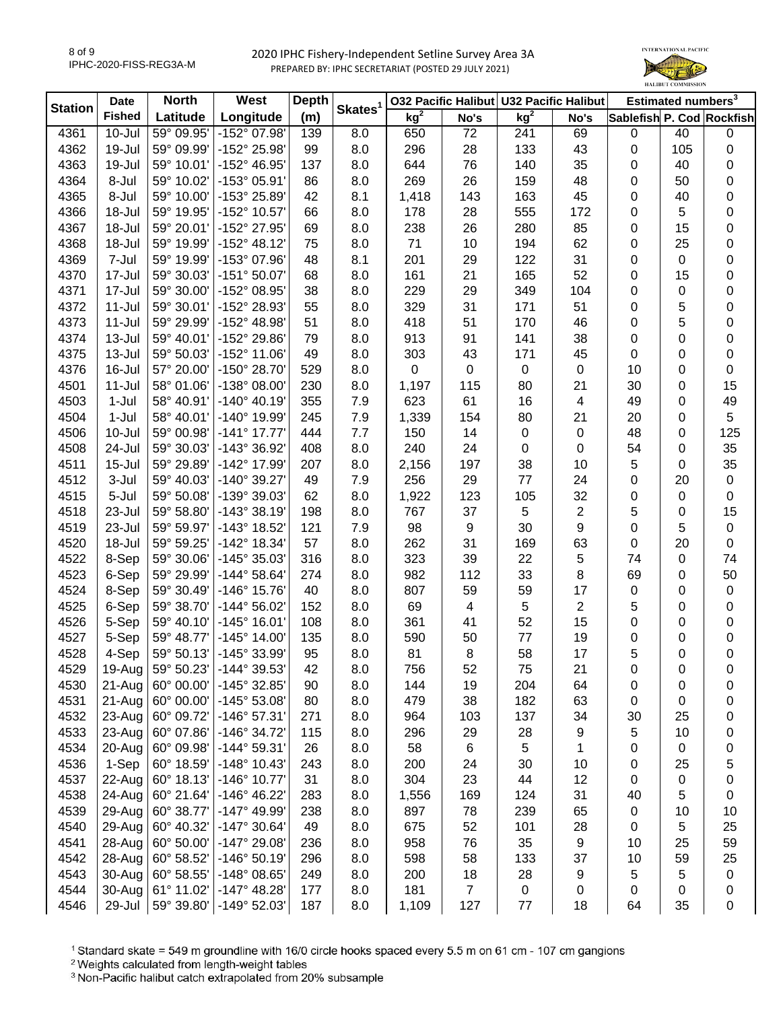

| Skates <sup>1</sup><br><b>Station</b><br>kg <sup>2</sup><br><b>Fished</b><br>kg <sup>2</sup><br>(m)<br>Latitude<br>Longitude<br>Sablefish P. Cod Rockfish<br>No's<br>No's<br>4361<br>$10 -$ Jul<br>59° 09.95'<br>-152° 07.98'<br>8.0<br>72<br>69<br>40<br>139<br>650<br>241<br>0<br>4362<br>19-Jul<br>59° 09.99'<br>-152° 25.98'<br>99<br>8.0<br>296<br>28<br>133<br>43<br>105<br>0<br>4363<br>19-Jul<br>59° 10.01'<br>-152° 46.95'<br>137<br>644<br>76<br>140<br>35<br>8.0<br>0<br>40<br>8-Jul<br>269<br>26<br>159<br>48<br>4364<br>59° 10.02'<br>-153° 05.91'<br>86<br>8.0<br>0<br>50<br>4365<br>8-Jul<br>59° 10.00'<br>-153° 25.89'<br>143<br>163<br>45<br>42<br>8.1<br>1,418<br>0<br>40<br>4366<br>59° 19.95'<br>-152° 10.57'<br>555<br>172<br>18-Jul<br>8.0<br>178<br>28<br>0<br>5<br>66 | Estimated numbers <sup>3</sup> |
|-----------------------------------------------------------------------------------------------------------------------------------------------------------------------------------------------------------------------------------------------------------------------------------------------------------------------------------------------------------------------------------------------------------------------------------------------------------------------------------------------------------------------------------------------------------------------------------------------------------------------------------------------------------------------------------------------------------------------------------------------------------------------------------------------|--------------------------------|
|                                                                                                                                                                                                                                                                                                                                                                                                                                                                                                                                                                                                                                                                                                                                                                                               |                                |
|                                                                                                                                                                                                                                                                                                                                                                                                                                                                                                                                                                                                                                                                                                                                                                                               | $\pmb{0}$                      |
|                                                                                                                                                                                                                                                                                                                                                                                                                                                                                                                                                                                                                                                                                                                                                                                               | 0                              |
|                                                                                                                                                                                                                                                                                                                                                                                                                                                                                                                                                                                                                                                                                                                                                                                               | 0                              |
|                                                                                                                                                                                                                                                                                                                                                                                                                                                                                                                                                                                                                                                                                                                                                                                               | 0                              |
|                                                                                                                                                                                                                                                                                                                                                                                                                                                                                                                                                                                                                                                                                                                                                                                               | 0                              |
|                                                                                                                                                                                                                                                                                                                                                                                                                                                                                                                                                                                                                                                                                                                                                                                               | 0                              |
| 18-Jul<br>59° 20.01'<br>-152° 27.95'<br>238<br>280<br>85<br>4367<br>69<br>8.0<br>26<br>0<br>15                                                                                                                                                                                                                                                                                                                                                                                                                                                                                                                                                                                                                                                                                                | 0                              |
| 59° 19.99'<br>$-152^{\circ}$ 48.12'<br>71<br>10<br>194<br>62<br>4368<br>18-Jul<br>75<br>8.0<br>0<br>25                                                                                                                                                                                                                                                                                                                                                                                                                                                                                                                                                                                                                                                                                        | 0                              |
| 4369<br>7-Jul<br>59° 19.99'<br>-153° 07.96'<br>201<br>29<br>122<br>31<br>48<br>8.1<br>0<br>0                                                                                                                                                                                                                                                                                                                                                                                                                                                                                                                                                                                                                                                                                                  | 0                              |
| 52<br>4370<br>17-Jul<br>59° 30.03'<br>$-151°50.07'$<br>68<br>161<br>21<br>165<br>15<br>8.0<br>0                                                                                                                                                                                                                                                                                                                                                                                                                                                                                                                                                                                                                                                                                               | 0                              |
| 4371<br>17-Jul<br>59° 30.00'<br>-152° 08.95'<br>229<br>29<br>349<br>104<br>38<br>8.0<br>0<br>0                                                                                                                                                                                                                                                                                                                                                                                                                                                                                                                                                                                                                                                                                                | 0                              |
| 31<br>51<br>5<br>4372<br>$11 -$ Jul<br>59° 30.01'<br>-152° 28.93'<br>329<br>171<br>0<br>55<br>8.0                                                                                                                                                                                                                                                                                                                                                                                                                                                                                                                                                                                                                                                                                             | 0                              |
| 51<br>5<br>4373<br>$11 -$ Jul<br>59° 29.99'<br>-152° 48.98'<br>51<br>8.0<br>418<br>170<br>46<br>0                                                                                                                                                                                                                                                                                                                                                                                                                                                                                                                                                                                                                                                                                             | 0                              |
| 38<br>4374<br>$13 -$ Jul<br>59° 40.01'<br>-152° 29.86'<br>8.0<br>913<br>91<br>141<br>0<br>0<br>79                                                                                                                                                                                                                                                                                                                                                                                                                                                                                                                                                                                                                                                                                             | 0                              |
| 171<br>45<br>4375<br>13-Jul<br>59° 50.03'<br>-152° 11.06'<br>49<br>303<br>43<br>0<br>8.0<br>0                                                                                                                                                                                                                                                                                                                                                                                                                                                                                                                                                                                                                                                                                                 | 0                              |
| 4376<br>16-Jul<br>57° 20.00'<br>-150° 28.70<br>529<br>$\pmb{0}$<br>$\pmb{0}$<br>0<br>0<br>10<br>8.0<br>0                                                                                                                                                                                                                                                                                                                                                                                                                                                                                                                                                                                                                                                                                      | $\pmb{0}$                      |
| 4501<br>$11 -$ Jul<br>58° 01.06'<br>-138° 08.00<br>230<br>115<br>80<br>21<br>30<br>8.0<br>1,197<br>0                                                                                                                                                                                                                                                                                                                                                                                                                                                                                                                                                                                                                                                                                          | 15                             |
| 16<br>4503<br>$1-Jul$<br>58° 40.91'<br>$-140^{\circ}$ 40.19<br>355<br>7.9<br>623<br>61<br>49<br>4<br>0                                                                                                                                                                                                                                                                                                                                                                                                                                                                                                                                                                                                                                                                                        | 49                             |
| 80<br>$1-Jul$<br>58° 40.01'<br>-140° 19.99'<br>154<br>21<br>20<br>4504<br>245<br>7.9<br>1,339<br>0                                                                                                                                                                                                                                                                                                                                                                                                                                                                                                                                                                                                                                                                                            | 5                              |
| 10-Jul<br>$-141°$ 17.77<br>7.7<br>14<br>0<br>0<br>48<br>4506<br>59° 00.98'<br>444<br>150<br>0                                                                                                                                                                                                                                                                                                                                                                                                                                                                                                                                                                                                                                                                                                 | 125                            |
| 4508<br>24-Jul<br>59° 30.03'<br>-143° 36.92'<br>8.0<br>240<br>24<br>408<br>0<br>0<br>54<br>0                                                                                                                                                                                                                                                                                                                                                                                                                                                                                                                                                                                                                                                                                                  | 35                             |
| $15 -$ Jul<br>59° 29.89'<br>-142° 17.99'<br>197<br>38<br>10<br>5<br>4511<br>207<br>8.0<br>2,156<br>0                                                                                                                                                                                                                                                                                                                                                                                                                                                                                                                                                                                                                                                                                          | 35                             |
| 4512<br>3-Jul<br>59° 40.03'<br>-140° 39.27'<br>256<br>29<br>77<br>24<br>20<br>49<br>7.9<br>0                                                                                                                                                                                                                                                                                                                                                                                                                                                                                                                                                                                                                                                                                                  | $\pmb{0}$                      |
| 5-Jul<br>59° 50.08'<br>-139° 39.03'<br>1,922<br>123<br>105<br>32<br>4515<br>62<br>8.0<br>0<br>$\mathbf 0$                                                                                                                                                                                                                                                                                                                                                                                                                                                                                                                                                                                                                                                                                     | 0                              |
| 5<br>2<br>23-Jul<br>59° 58.80'<br>$-143°38.19'$<br>767<br>37<br>5<br>4518<br>198<br>8.0<br>0                                                                                                                                                                                                                                                                                                                                                                                                                                                                                                                                                                                                                                                                                                  | 15                             |
| $\boldsymbol{9}$<br>9<br>4519<br>23-Jul<br>59° 59.97'<br>-143° 18.52'<br>7.9<br>98<br>30<br>0<br>5<br>121                                                                                                                                                                                                                                                                                                                                                                                                                                                                                                                                                                                                                                                                                     | $\pmb{0}$                      |
| 63<br>4520<br>18-Jul<br>59° 59.25'<br>-142° 18.34'<br>57<br>8.0<br>262<br>31<br>169<br>0<br>20                                                                                                                                                                                                                                                                                                                                                                                                                                                                                                                                                                                                                                                                                                | 0                              |
| 22<br>4522<br>8-Sep<br>59° 30.06'<br>-145° 35.03'<br>8.0<br>323<br>39<br>5<br>74<br>316<br>0                                                                                                                                                                                                                                                                                                                                                                                                                                                                                                                                                                                                                                                                                                  | 74                             |
| 112<br>33<br>8<br>4523<br>6-Sep<br>59° 29.99'<br>$-144^{\circ} 58.64'$<br>8.0<br>982<br>69<br>274<br>0                                                                                                                                                                                                                                                                                                                                                                                                                                                                                                                                                                                                                                                                                        | 50                             |
| 4524<br>8-Sep<br>59° 30.49'<br>-146° 15.76'<br>8.0<br>807<br>59<br>59<br>17<br>0<br>40<br>0                                                                                                                                                                                                                                                                                                                                                                                                                                                                                                                                                                                                                                                                                                   | $\pmb{0}$                      |
| 5<br>$\overline{\mathbf{c}}$<br>5<br>4525<br>6-Sep<br>59° 38.70'<br>$-144^{\circ} 56.02'$<br>8.0<br>69<br>4<br>152<br>0                                                                                                                                                                                                                                                                                                                                                                                                                                                                                                                                                                                                                                                                       | 0                              |
| 52<br>4526<br>5-Sep<br>59° 40.10'<br>$-145^{\circ}$ 16.01'<br>8.0<br>361<br>41<br>15<br>0<br>108<br>0                                                                                                                                                                                                                                                                                                                                                                                                                                                                                                                                                                                                                                                                                         | 0                              |
| 4527<br>$-145^{\circ}$ 14.00<br>8.0<br>590<br>50<br>77<br>19<br>0<br>5-Sep<br>59° 48.77'<br>135<br>0                                                                                                                                                                                                                                                                                                                                                                                                                                                                                                                                                                                                                                                                                          | 0                              |
| 58<br>4528<br>4-Sep<br>59° 50.13'<br>-145° 33.99'<br>95<br>8.0<br>81<br>8<br>17<br>5<br>0                                                                                                                                                                                                                                                                                                                                                                                                                                                                                                                                                                                                                                                                                                     | 0                              |
| 59° 50.23'<br>$-144^{\circ}39.53$<br>52<br>42<br>4529<br>19-Aug<br>8.0<br>756<br>75<br>21<br>0<br>0                                                                                                                                                                                                                                                                                                                                                                                                                                                                                                                                                                                                                                                                                           | 0                              |
| 4530<br>-145° 32.85'<br>204<br>60° 00.00'<br>90<br>8.0<br>144<br>19<br>64<br>21-Aug<br>0<br>0                                                                                                                                                                                                                                                                                                                                                                                                                                                                                                                                                                                                                                                                                                 | 0                              |
| 4531<br>182<br>63<br>21-Aug<br>60° 00.00'<br>$-145^{\circ} 53.08'$<br>80<br>8.0<br>479<br>38<br>0<br>0                                                                                                                                                                                                                                                                                                                                                                                                                                                                                                                                                                                                                                                                                        | 0                              |
| 4532<br>60° 09.72'<br>-146° 57.31'<br>137<br>34<br>23-Aug<br>271<br>8.0<br>964<br>103<br>30<br>25                                                                                                                                                                                                                                                                                                                                                                                                                                                                                                                                                                                                                                                                                             | 0                              |
| 4533<br>60° 07.86'<br>-146° 34.72'<br>28<br>23-Aug<br>115<br>8.0<br>296<br>29<br>9<br>5<br>10                                                                                                                                                                                                                                                                                                                                                                                                                                                                                                                                                                                                                                                                                                 | 0                              |
| 4534<br>20-Aug<br>-144° 59.31'<br>5<br>60° 09.98'<br>26<br>8.0<br>58<br>6<br>0<br>1<br>0                                                                                                                                                                                                                                                                                                                                                                                                                                                                                                                                                                                                                                                                                                      | 0                              |
| 1-Sep<br>$-148°$ 10.43<br>4536<br>60° 18.59'<br>243<br>8.0<br>200<br>24<br>30<br>10<br>0<br>25                                                                                                                                                                                                                                                                                                                                                                                                                                                                                                                                                                                                                                                                                                | 5                              |
| 4537<br>22-Aug<br>60° 18.13'<br>-146° 10.77'<br>31<br>304<br>23<br>44<br>12<br>8.0<br>0<br>0                                                                                                                                                                                                                                                                                                                                                                                                                                                                                                                                                                                                                                                                                                  | 0                              |
| 4538<br>24-Aug<br>60° 21.64'<br>-146° 46.22'<br>124<br>31<br>5<br>8.0<br>1,556<br>169<br>40<br>283                                                                                                                                                                                                                                                                                                                                                                                                                                                                                                                                                                                                                                                                                            | 0                              |
| 4539<br>29-Aug<br>60° 38.77'<br>-147° 49.99'<br>78<br>239<br>65<br>238<br>8.0<br>897<br>0<br>10                                                                                                                                                                                                                                                                                                                                                                                                                                                                                                                                                                                                                                                                                               | 10                             |
| 4540<br>29-Aug<br>60° 40.32'<br>8.0<br>675<br>52<br>101<br>0<br>5<br>$-147°30.64'$<br>49<br>28                                                                                                                                                                                                                                                                                                                                                                                                                                                                                                                                                                                                                                                                                                | 25                             |
| 35<br>4541<br>28-Aug<br>60° 50.00'<br>-147° 29.08'<br>8.0<br>958<br>76<br>9<br>10<br>25<br>236                                                                                                                                                                                                                                                                                                                                                                                                                                                                                                                                                                                                                                                                                                | 59                             |
| $-146°50.19'$<br>8.0<br>598<br>58<br>133<br>37<br>10<br>59<br>4542<br>28-Aug<br>60° 58.52'<br>296                                                                                                                                                                                                                                                                                                                                                                                                                                                                                                                                                                                                                                                                                             |                                |
| 4543<br>-148° 08.65'<br>28<br>5<br>5<br>30-Aug<br>60° 58.55'<br>8.0<br>200<br>18<br>9<br>249                                                                                                                                                                                                                                                                                                                                                                                                                                                                                                                                                                                                                                                                                                  |                                |
| $\overline{7}$<br>4544<br>$-147^{\circ}$ 48.28'<br>181<br>0<br>30-Aug<br>61° 11.02'<br>177<br>8.0<br>0<br>0<br>0                                                                                                                                                                                                                                                                                                                                                                                                                                                                                                                                                                                                                                                                              | 25                             |
| 4546<br>59° 39.80'<br>-149° 52.03'<br>127<br>77<br>18<br>35<br>29-Jul<br>187<br>8.0<br>1,109<br>64                                                                                                                                                                                                                                                                                                                                                                                                                                                                                                                                                                                                                                                                                            | $\pmb{0}$<br>0                 |

<sup>1</sup> Standard skate = 549 m groundline with 16/0 circle hooks spaced every 5.5 m on 61 cm - 107 cm gangions

2 Weights calculated from length-weight tables<br>
<sup>2</sup> Weights calculated from length-weight tables<br>
<sup>3</sup> Non-Pacific halibut catch extrapolated from 20% subsample